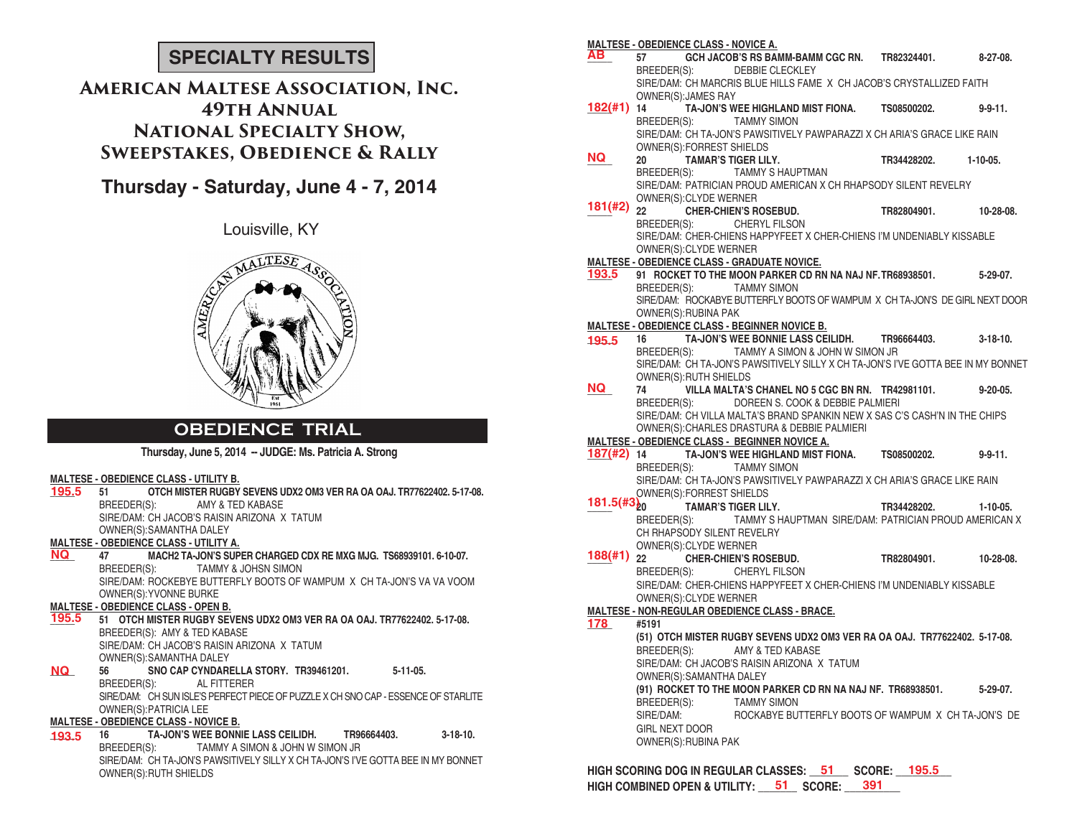# **SPECIALTY RESULTS**

# **American Maltese Association, Inc. 49th Annual National Specialty Show, Sweepstakes, Obedience & Rally**

# **Thursday - Saturday, June 4 - 7, 2014**

Louisville, KY



## **OBEDIENCE TRIAL**

**Thursday, June 5, 2014 -- JUDGE: Ms. Patricia A. Strong**

### **MALTESE - OBEDIENCE CLASS - UTILITY B.**

| 195.5     | OTCH MISTER RUGBY SEVENS UDX2 OM3 VER RA OA OAJ, TR77622402, 5-17-08.              |
|-----------|------------------------------------------------------------------------------------|
|           | BREEDER(S): AMY & TED KABASE                                                       |
|           | SIRE/DAM: CH JACOB'S RAISIN ARIZONA X TATUM                                        |
|           | OWNER(S): SAMANTHA DALEY                                                           |
|           | <b>MALTESE - OBEDIENCE CLASS - UTILITY A.</b>                                      |
| <b>NQ</b> | MACH2 TA-JON'S SUPER CHARGED CDX RE MXG MJG. TS68939101, 6-10-07.                  |
|           | BREEDER(S): TAMMY & JOHSN SIMON                                                    |
|           | SIRE/DAM: ROCKEBYE BUTTERFLY BOOTS OF WAMPUM X CH TA-JON'S VA VA VOOM              |
|           | OWNER(S): YVONNE BURKE                                                             |
|           | <b>MALTESE - OBEDIENCE CLASS - OPEN B.</b>                                         |
| 195.5     | 51 OTCH MISTER RUGBY SEVENS UDX2 OM3 VER RA OA OAJ. TR77622402. 5-17-08.           |
|           | BREEDER(S): AMY & TED KABASE                                                       |
|           | SIRE/DAM: CH JACOB'S RAISIN ARIZONA X TATUM                                        |
|           | OWNER(S): SAMANTHA DALEY                                                           |
| NQ .      | 56 SNO CAP CYNDARELLA STORY. TR39461201. 5-11-05.                                  |
|           | BREEDER(S): AL FITTERER                                                            |
|           | SIRE/DAM: CH SUN ISLE'S PERFECT PIECE OF PUZZLE X CH SNO CAP - ESSENCE OF STARLITE |
|           | <b>OWNER(S): PATRICIA LEE</b>                                                      |
|           | <b>MALTESE - OBEDIENCE CLASS - NOVICE B.</b>                                       |
|           | $3-18-10.$<br>16                                                                   |
| 193.5     |                                                                                    |
|           | BREEDER(S): TAMMY A SIMON & JOHN W SIMON JR                                        |
|           | SIRE/DAM: CH TA-JON'S PAWSITIVELY SILLY X CH TA-JON'S I'VE GOTTA BEE IN MY BONNET  |
|           | OWNER(S): RUTH SHIELDS                                                             |
|           |                                                                                    |

|                   |                       | <b>MALTESE - OBEDIENCE CLASS - NOVICE A.</b> |                                                                                   |                       |                 |
|-------------------|-----------------------|----------------------------------------------|-----------------------------------------------------------------------------------|-----------------------|-----------------|
| AВ.               |                       |                                              | GCH JACOB'S RS BAMM-BAMM CGC RN. TR82324401.                                      |                       | 8-27-08.        |
|                   |                       |                                              | BREEDER(S): DEBBIE CLECKLEY                                                       |                       |                 |
|                   |                       |                                              | SIRE/DAM: CH MARCRIS BLUE HILLS FAME X CH JACOB'S CRYSTALLIZED FAITH              |                       |                 |
|                   |                       | OWNER(S): JAMES RAY                          |                                                                                   |                       |                 |
|                   | $182($ #1) 14         |                                              | TA-JON'S WEE HIGHLAND MIST FIONA. TS08500202.                                     |                       | $9 - 9 - 11$ .  |
|                   |                       |                                              | BREEDER(S): TAMMY SIMON                                                           |                       |                 |
|                   |                       |                                              | SIRE/DAM: CH TA-JON'S PAWSITIVELY PAWPARAZZI X CH ARIA'S GRACE LIKE RAIN          |                       |                 |
|                   |                       | OWNER(S): FORREST SHIELDS                    |                                                                                   |                       |                 |
| NQ.               | 20                    |                                              | TAMAR'S TIGER LILY.                                                               | TR34428202. 1-10-05.  |                 |
|                   |                       |                                              | BREEDER(S): TAMMY S HAUPTMAN                                                      |                       |                 |
|                   |                       |                                              | SIRE/DAM: PATRICIAN PROUD AMERICAN X CH RHAPSODY SILENT REVELRY                   |                       |                 |
|                   |                       | OWNER(S): CLYDE WERNER                       |                                                                                   |                       |                 |
| 181(#2)           |                       |                                              | OWNER(S).CETER WERING<br>22 COMER-CHIEN'S ROSEBUD.<br>DEFENED'S! CHERVLEILSON     | TR82804901. 10-28-08. |                 |
|                   |                       |                                              | BREEDER(S): CHERYL FILSON                                                         |                       |                 |
|                   |                       |                                              | SIRE/DAM: CHER-CHIENS HAPPYFEET X CHER-CHIENS I'M UNDENIABLY KISSABLE             |                       |                 |
|                   |                       | OWNER(S): CLYDE WERNER                       |                                                                                   |                       |                 |
|                   |                       |                                              | <b>MALTESE - OBEDIENCE CLASS - GRADUATE NOVICE.</b>                               |                       |                 |
| 193.5             |                       |                                              | 91 ROCKET TO THE MOON PARKER CD RN NA NAJ NF. TR68938501. 5-29-07.                |                       |                 |
|                   |                       |                                              | BREEDER(S): TAMMY SIMON                                                           |                       |                 |
|                   |                       |                                              | SIRE/DAM: ROCKABYE BUTTERFLY BOOTS OF WAMPUM X CH TA JON'S DE GIRL NEXT DOOR      |                       |                 |
|                   |                       | OWNER(S): RUBINA PAK                         |                                                                                   |                       |                 |
|                   |                       |                                              | <b>MALTESE - OBEDIENCE CLASS - BEGINNER NOVICE B.</b>                             |                       |                 |
| 195.5             | 16                    |                                              | TA-JON'S WEE BONNIE LASS CEILIDH. TR96664403.                                     |                       | 3-18-10.        |
|                   |                       |                                              | BREEDER(S): TAMMY A SIMON & JOHN W SIMON JR                                       |                       |                 |
|                   |                       |                                              | SIRE/DAM: CH TA-JON'S PAWSITIVELY SILLY X CH TA-JON'S I'VE GOTTA BEE IN MY BONNET |                       |                 |
|                   |                       | <b>OWNER(S): RUTH SHIELDS</b>                |                                                                                   |                       |                 |
| NQ.               | 74                    |                                              | VILLA MALTA'S CHANEL NO 5 CGC BN RN. TR42981101.                                  |                       | $9 - 20 - 05$ . |
|                   |                       | BREEDER(S):                                  | DOREEN S. COOK & DEBBIE PALMIERI                                                  |                       |                 |
|                   |                       |                                              | SIRE/DAM: CH VILLA MALTA'S BRAND SPANKIN NEW X SAS C'S CASH'N IN THE CHIPS        |                       |                 |
|                   |                       |                                              | OWNER(S): CHARLES DRASTURA & DEBBIE PALMIERI                                      |                       |                 |
|                   |                       |                                              | <b>MALTESE - OBEDIENCE CLASS - BEGINNER NOVICE A.</b>                             |                       |                 |
|                   |                       |                                              | 187(#2) 14 TA-JON'S WEE HIGHLAND MIST FIONA. TS08500202.                          |                       | 9-9-11.         |
|                   |                       |                                              | BREEDER(S): TAMMY SIMON                                                           |                       |                 |
|                   |                       |                                              | SIRE/DAM: CH TA-JON'S PAWSITIVELY PAWPARAZZI X CH ARIA'S GRACE LIKE RAIN          |                       |                 |
|                   |                       | OWNER(S):FORREST SHIELDS                     |                                                                                   |                       |                 |
| $181.5(\#3)_{20}$ |                       |                                              | <b>TAMAR'S TIGER LILY.</b>                                                        | TR34428202.           | 1-10-05.        |
|                   |                       |                                              | BREEDER(S): TAMMY S HAUPTMAN SIRE/DAM: PATRICIAN PROUD AMERICAN X                 |                       |                 |
|                   |                       |                                              | CH RHAPSODY SILENT REVELRY                                                        |                       |                 |
|                   |                       | OWNER(S):CLYDE WERNER                        |                                                                                   |                       |                 |
| $188(#1)$ 22      |                       |                                              | CHER-CHIEN'S ROSEBUD.                                                             | TR82804901. 10-28-08. |                 |
|                   | BREEDER(S):           |                                              | CHERYL FILSON                                                                     |                       |                 |
|                   |                       |                                              | SIRE/DAM: CHER-CHIENS HAPPYFEET X CHER-CHIENS I'M UNDENIABLY KISSABLE             |                       |                 |
|                   |                       | OWNER(S): CLYDE WERNER                       |                                                                                   |                       |                 |
|                   |                       |                                              | MALTESE - NON-REGULAR OBEDIENCE CLASS - BRACE.                                    |                       |                 |
| 178               | #5191                 |                                              |                                                                                   |                       |                 |
|                   |                       |                                              | (51) OTCH MISTER RUGBY SEVENS UDX2 OM3 VER RA OA OAJ. TR77622402. 5-17-08.        |                       |                 |
|                   |                       |                                              | BREEDER(S): AMY & TED KABASE                                                      |                       |                 |
|                   |                       |                                              | SIRE/DAM: CH JACOB'S RAISIN ARIZONA X TATUM                                       |                       |                 |
|                   |                       |                                              |                                                                                   |                       |                 |
|                   |                       | OWNER(S): SAMANTHA DALEY                     |                                                                                   |                       |                 |
|                   | BREEDER(S):           |                                              | (91) ROCKET TO THE MOON PARKER CD RN NA NAJ NF. TR68938501.                       |                       | $5-29-07$ .     |
|                   |                       |                                              | <b>TAMMY SIMON</b>                                                                |                       |                 |
|                   | SIRE/DAM:             |                                              | ROCKABYE BUTTERFLY BOOTS OF WAMPUM X CH TA JON'S DE                               |                       |                 |
|                   | <b>GIRL NEXT DOOR</b> |                                              |                                                                                   |                       |                 |
|                   |                       | OWNER(S): RUBINA PAK                         |                                                                                   |                       |                 |
|                   |                       |                                              |                                                                                   |                       |                 |

HIGH SCORING DOG IN REGULAR CLASSES: \_\_51 \_\_\_ SCORE: \_\_195.5 \_\_ **HIGH COMBINED OPEN & UTILITY: \_\_\_\_\_\_\_ SCORE: \_\_\_\_\_\_\_\_\_\_ 51 391**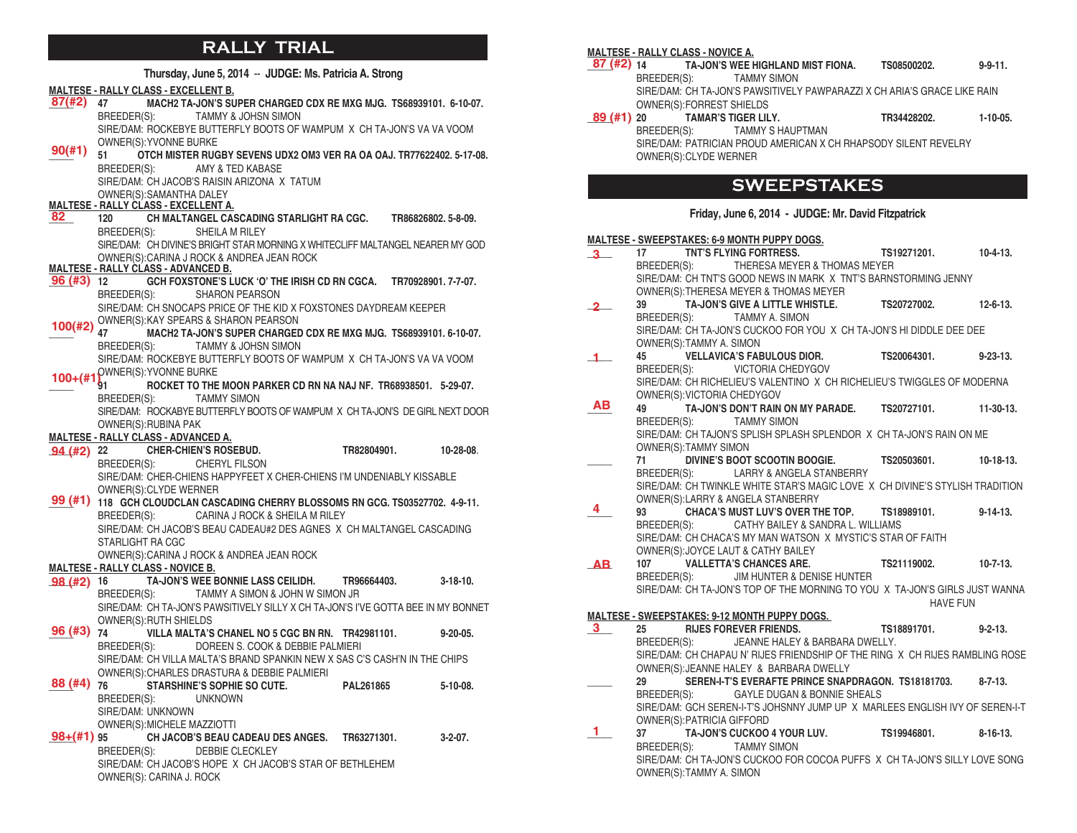## **RALLY TRIAL**

|                   |                  |                                             | Thursday, June 5, 2014 -- JUDGE: Ms. Patricia A. Strong                              |                  |                     |                 |
|-------------------|------------------|---------------------------------------------|--------------------------------------------------------------------------------------|------------------|---------------------|-----------------|
|                   |                  | <b>MALTESE - RALLY CLASS - EXCELLENT B.</b> |                                                                                      |                  |                     |                 |
| 87(#2)            | 47               |                                             | MACH2 TA-JON'S SUPER CHARGED CDX RE MXG MJG. TS68939101. 6-10-07.                    |                  |                     |                 |
|                   | BREEDER(S):      |                                             | <b>TAMMY &amp; JOHSN SIMON</b>                                                       |                  |                     |                 |
|                   |                  |                                             | SIRE/DAM: ROCKEBYE BUTTERFLY BOOTS OF WAMPUM X CH TA-JON'S VA VA VOOM                |                  |                     |                 |
|                   |                  | OWNER(S): YVONNE BURKE                      |                                                                                      |                  |                     |                 |
| 90(#1)            | 51               |                                             | OTCH MISTER RUGBY SEVENS UDX2 OM3 VER RA OA OAJ. TR77622402. 5-17-08.                |                  |                     |                 |
|                   | BREEDER(S):      |                                             | AMY & TED KABASE                                                                     |                  |                     |                 |
|                   |                  |                                             | SIRE/DAM: CH JACOB'S RAISIN ARIZONA X TATUM                                          |                  |                     |                 |
|                   |                  | OWNER(S): SAMANTHA DALEY                    |                                                                                      |                  |                     |                 |
| 82                | 120              | <b>MALTESE - RALLY CLASS - EXCELLENT A.</b> | CH MALTANGEL CASCADING STARLIGHT RA CGC.                                             |                  | TR86826802, 5-8-09. |                 |
|                   | BREEDER(S):      |                                             | SHEILA M RILEY                                                                       |                  |                     |                 |
|                   |                  |                                             | SIRE/DAM: CH DIVINE'S BRIGHT STAR MORNING X WHITECLIFF MALTANGEL NEARER MY GOD       |                  |                     |                 |
|                   |                  |                                             | OWNER(S): CARINA J ROCK & ANDREA JEAN ROCK                                           |                  |                     |                 |
|                   |                  | <b>MALTESE - RALLY CLASS - ADVANCED B.</b>  |                                                                                      |                  |                     |                 |
| $96($ #3) $12$    |                  |                                             | GCH FOXSTONE'S LUCK 'O' THE IRISH CD RN CGCA.                                        |                  | TR70928901.7-7-07.  |                 |
|                   | BREEDER(S):      |                                             | <b>SHARON PEARSON</b>                                                                |                  |                     |                 |
|                   |                  |                                             | SIRE/DAM: CH SNOCAPS PRICE OF THE KID X FOXSTONES DAYDREAM KEEPER                    |                  |                     |                 |
| $100(\text{\#}2)$ |                  |                                             | OWNER(S): KAY SPEARS & SHARON PEARSON                                                |                  |                     |                 |
|                   | 47               |                                             | MACH2 TA-JON'S SUPER CHARGED CDX RE MXG MJG. TS68939101. 6-10-07.                    |                  |                     |                 |
|                   | BREEDER(S):      |                                             | <b>TAMMY &amp; JOHSN SIMON</b>                                                       |                  |                     |                 |
|                   |                  |                                             | SIRE/DAM: ROCKEBYE BUTTERFLY BOOTS OF WAMPUM X CH TA-JON'S VA VA VOOM                |                  |                     |                 |
|                   | 91               | 100+(#1) <sup>OWNER(S):YVONNE BURKE</sup>   | ROCKET TO THE MOON PARKER CD RN NA NAJ NF. TR68938501. 5-29-07.                      |                  |                     |                 |
|                   | BREEDER(S):      |                                             | <b>TAMMY SIMON</b>                                                                   |                  |                     |                 |
|                   |                  |                                             | SIRE/DAM: ROCKABYE BUTTERFLY BOOTS OF WAMPUM X CH TA-JON'S DE GIRL NEXT DOOR         |                  |                     |                 |
|                   |                  | OWNER(S): RUBINA PAK                        |                                                                                      |                  |                     |                 |
|                   |                  | <b>MALTESE - RALLY CLASS - ADVANCED A.</b>  |                                                                                      |                  |                     |                 |
| <b>94 (#2)</b> 22 |                  |                                             | <b>CHER-CHIEN'S ROSEBUD.</b>                                                         | TR82804901.      |                     | 10-28-08.       |
|                   | BREEDER(S):      |                                             | CHERYL FILSON                                                                        |                  |                     |                 |
|                   |                  |                                             |                                                                                      |                  |                     |                 |
|                   |                  |                                             | SIRE/DAM: CHER-CHIENS HAPPYFEET X CHER-CHIENS I'M UNDENIABLY KISSABLE                |                  |                     |                 |
|                   |                  | OWNER(S): CLYDE WERNER                      |                                                                                      |                  |                     |                 |
| 99 (#1)           |                  |                                             | 118 GCH CLOUDCLAN CASCADING CHERRY BLOSSOMS RN GCG. TS03527702. 4-9-11.              |                  |                     |                 |
|                   | BREEDER(S):      |                                             | CARINA J ROCK & SHEILA M RILEY                                                       |                  |                     |                 |
|                   |                  |                                             | SIRE/DAM: CH JACOB'S BEAU CADEAU#2 DES AGNES X CH MALTANGEL CASCADING                |                  |                     |                 |
|                   | STARLIGHT RA CGC |                                             |                                                                                      |                  |                     |                 |
|                   |                  |                                             | OWNER(S): CARINA J ROCK & ANDREA JEAN ROCK                                           |                  |                     |                 |
|                   |                  | <b>MALTESE - RALLY CLASS - NOVICE B.</b>    |                                                                                      |                  |                     |                 |
| $98(#2)$ 16       |                  |                                             | TA-JON'S WEE BONNIE LASS CEILIDH.                                                    | TR96664403.      |                     | $3-18-10.$      |
|                   | BREEDER(S):      |                                             | TAMMY A SIMON & JOHN W SIMON JR                                                      |                  |                     |                 |
|                   |                  |                                             | SIRE/DAM: CH TA-JON'S PAWSITIVELY SILLY X CH TA-JON'S I'VE GOTTA BEE IN MY BONNET    |                  |                     |                 |
| 96 (#3)           | 74               | OWNER(S): RUTH SHIELDS                      |                                                                                      |                  |                     |                 |
|                   |                  |                                             | VILLA MALTA'S CHANEL NO 5 CGC BN RN. TR42981101.<br>DOREEN S. COOK & DEBBIE PALMIERI |                  |                     | $9 - 20 - 05$ . |
|                   | BREEDER(S):      |                                             | SIRE/DAM: CH VILLA MALTA'S BRAND SPANKIN NEW X SAS C'S CASH'N IN THE CHIPS           |                  |                     |                 |
|                   |                  |                                             | OWNER(S): CHARLES DRASTURA & DEBBIE PALMIERI                                         |                  |                     |                 |
| $88$ (#4) $76$    |                  |                                             | <b>STARSHINE'S SOPHIE SO CUTE.</b>                                                   | <b>PAL261865</b> |                     | $5-10-08$ .     |
|                   | BREEDER(S):      |                                             | <b>UNKNOWN</b>                                                                       |                  |                     |                 |
|                   |                  | SIRE/DAM: UNKNOWN                           |                                                                                      |                  |                     |                 |
|                   |                  | <b>OWNER(S): MICHELE MAZZIOTTI</b>          |                                                                                      |                  |                     |                 |
| $98+(#1)$ 95      |                  |                                             | CH JACOB'S BEAU CADEAU DES ANGES.                                                    | TR63271301.      |                     | $3-2-07.$       |
|                   | BREEDER(S):      |                                             | DEBBIE CLECKLEY                                                                      |                  |                     |                 |
|                   |                  | OWNER(S): CARINA J. ROCK                    | SIRE/DAM: CH JACOB'S HOPE X CH JACOB'S STAR OF BETHLEHEM                             |                  |                     |                 |

### **MALTESE - RALLY CLASS - NOVICE A.**

|                                       | 87 (#2) 14 TA-JON'S WEE HIGHLAND MIST FIONA.                             | TS08500202. | $9 - 9 - 11$ . |
|---------------------------------------|--------------------------------------------------------------------------|-------------|----------------|
|                                       | BREEDER(S): TAMMY SIMON                                                  |             |                |
|                                       | SIRE/DAM: CH TA-JON'S PAWSITIVELY PAWPARAZZI X CH ARIA'S GRACE LIKE RAIN |             |                |
| <b>OWNER(S):FORREST SHIELDS</b>       |                                                                          |             |                |
| <b>89 (#1) 20 TAMAR'S TIGER LILY.</b> |                                                                          | TR34428202. | $1-10-05$ .    |
|                                       | BREEDER(S): TAMMY S HAUPTMAN                                             |             |                |
|                                       | SIRE/DAM: PATRICIAN PROUD AMERICAN X CH RHAPSODY SILENT REVELRY          |             |                |
| OWNER(S): CLYDE WERNER                |                                                                          |             |                |

## **SWEEPSTAKES**

### **Friday, June 6, 2014 - JUDGE: Mr. David Fitzpatrick**

#### **MALTESE - SWEEPSTAKES: 6-9 MONTH PUPPY DOGS.**

17 **TNT'S FLYING FORTRESS. TS19271201. 10-4-13. BREEDER(S): THERESA MEYER & THOMAS MEYER** THERESA MEYER & THOMAS MEYER SIRE/DAM: CH TNT'S GOOD NEWS IN MARK X TNT'S BARNSTORMING JENNY OWNER(S):THERESA MEYER & THOMAS MEYER **\_\_\_\_\_ 39 TA-JON'S GIVE A LITTLE WHISTLE. TS20727002. 12-6-13.** BREEDER(S): TAMMY A. SIMON SIRE/DAM: CH TA-JON'S CUCKOO FOR YOU X CH TA-JON'S HI DIDDLE DEE DEE OWNER(S):TAMMY A. SIMON **\_\_\_\_\_ 45 VELLAVICA'S FABULOUS DIOR. TS20064301. 9-23-13.** BREEDER(S): VICTORIA CHEDYGOV SIRE/DAM: CH RICHELIEU'S VALENTINO X CH RICHELIEU'S TWIGGLES OF MODERNA OWNER(S):VICTORIA CHEDYGOV **\_\_\_\_\_ 49 TA-JON'S DON'T RAIN ON MY PARADE. TS20727101. 11-30-13.**  BREEDER(S): TAMMY SIMON SIRE/DAM: CH TAJON'S SPLISH SPLASH SPLENDOR X CH TA-JON'S RAIN ON ME OWNER(S):TAMMY SIMON **\_\_\_\_\_ 71 DIVINE'S BOOT SCOOTIN BOOGIE. TS20503601. 10-18-13.** BREEDER(S): LARRY & ANGELA STANBERRY SIRE/DAM: CH TWINKLE WHITE STAR'S MAGIC LOVE X CH DIVINE'S STYLISH TRADITION OWNER(S):LARRY & ANGELA STANBERRY **\_\_\_\_\_ 93 CHACA'S MUST LUV'S OVER THE TOP. TS18989101. 9-14-13.** BREEDER(S): CATHY BAILEY & SANDRA L. WILLIAMS SIRE/DAM: CH CHACA'S MY MAN WATSON X MYSTIC'S STAR OF FAITH OWNER(S):JOYCE LAUT & CATHY BAILEY **\_\_\_\_\_ 107 VALLETTA'S CHANCES ARE. TS21119002. 10-7-13.** BREEDER(S): JIM HUNTER & DENISE HUNTER SIRE/DAM: CH TA-JON'S TOP OF THE MORNING TO YOU X TA-JON'S GIRLS JUST WANNA HAVE FUN **MALTESE - SWEEPSTAKES: 9-12 MONTH PUPPY DOGS. \_\_\_\_\_ 25 RIJES FOREVER FRIENDS. TS18891701. 9-2-13.** BREEDER(S): JEANNE HALEY & BARBARA DWELLY. SIRE/DAM: CH CHAPAU N' RIJES FRIENDSHIP OF THE RING X CH RIJES RAMBLING ROSE OWNER(S):JEANNE HALEY & BARBARA DWELLY **\_\_\_\_\_ 29 SEREN-I-T'S EVERAFTE PRINCE SNAPDRAGON. TS18181703. 8-7-13.** BREEDER(S): GAYLE DUGAN & BONNIE SHEALS SIRE/DAM: GCH SEREN-I-T'S JOHSNNY JUMP UP X MARLEES ENGLISH IVY OF SEREN-I-T OWNER(S):PATRICIA GIFFORD **\_\_\_\_\_ 37 TA-JON'S CUCKOO 4 YOUR LUV. TS19946801. 8-16-13.** BREEDER(S): TAMMY SIMON SIRE/DAM: CH TA-JON'S CUCKOO FOR COCOA PUFFS X CH TA-JON'S SILLY LOVE SONG OWNER(S):TAMMY A. SIMON **3 2 1 AB 4 AB 3 1**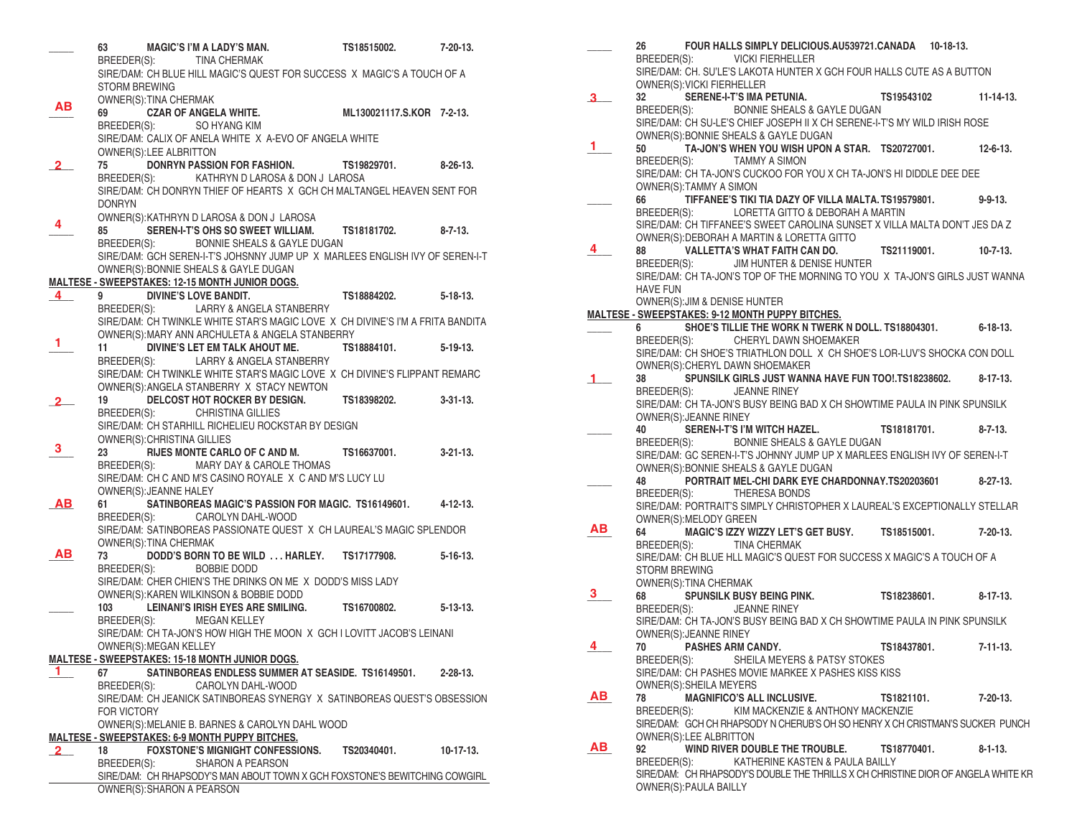|              | 63                          | MAGIC'S I'M A LADY'S MAN.                                                                                 | TS18515002. 7-20-13.      |                 |
|--------------|-----------------------------|-----------------------------------------------------------------------------------------------------------|---------------------------|-----------------|
|              |                             | BREEDER(S): TINA CHERMAK                                                                                  |                           |                 |
|              |                             | SIRE/DAM: CH BLUE HILL MAGIC'S QUEST FOR SUCCESS X MAGIC'S A TOUCH OF A                                   |                           |                 |
|              | <b>STORM BREWING</b>        |                                                                                                           |                           |                 |
|              | OWNER(S): TINA CHERMAK      |                                                                                                           |                           |                 |
| ΑВ           | 69                          | <b>CZAR OF ANGELA WHITE.</b>                                                                              | ML130021117.S.KOR 7-2-13. |                 |
|              |                             | BREEDER(S): SO HYANG KIM                                                                                  |                           |                 |
|              |                             | SIRE/DAM: CALIX OF ANELA WHITE X A-EVO OF ANGELA WHITE                                                    |                           |                 |
|              | OWNER(S):LEE ALBRITTON      |                                                                                                           |                           |                 |
|              | 75                          | DONRYN PASSION FOR FASHION.                                                                               | TS19829701.               | 8-26-13.        |
| 2.           | BREEDER(S):                 |                                                                                                           |                           |                 |
|              |                             | KATHRYN D LAROSA & DON J LAROSA<br>SIRE/DAM: CH DONRYN THIEF OF HEARTS X GCH CH MALTANGEL HEAVEN SENT FOR |                           |                 |
|              |                             |                                                                                                           |                           |                 |
|              | <b>DONRYN</b>               |                                                                                                           |                           |                 |
| 4            |                             | OWNER(S): KATHRYN D LAROSA & DON J LAROSA                                                                 |                           |                 |
|              | 85                          | SEREN-I-T'S OHS SO SWEET WILLIAM. TS18181702.                                                             |                           | 8-7-13.         |
|              | BREEDER(S):                 | BONNIE SHEALS & GAYLE DUGAN                                                                               |                           |                 |
|              |                             | SIRE/DAM: GCH SEREN-I-T'S JOHSNNY JUMP UP X MARLEES ENGLISH IVY OF SEREN-I-T                              |                           |                 |
|              |                             | OWNER(S): BONNIE SHEALS & GAYLE DUGAN                                                                     |                           |                 |
|              |                             | <b>MALTESE - SWEEPSTAKES: 12-15 MONTH JUNIOR DOGS.</b>                                                    |                           |                 |
| 4            | 9                           | DIVINE'S LOVE BANDIT.                                                                                     | TS18884202. 5-18-13.      |                 |
|              |                             | BREEDER(S): LARRY & ANGELA STANBERRY                                                                      |                           |                 |
|              |                             | SIRE/DAM: CH TWINKLE WHITE STAR'S MAGIC LOVE X CH DIVINE'S I'M A FRITA BANDITA                            |                           |                 |
|              |                             | OWNER(S): MARY ANN ARCHULETA & ANGELA STANBERRY                                                           |                           |                 |
| 1            | 11                          | DIVINE'S LET EM TALK AHOUT ME.                                                                            | TS18884101.               | 5-19-13.        |
|              |                             | BREEDER(S): LARRY & ANGELA STANBERRY                                                                      |                           |                 |
|              |                             | SIRE/DAM: CH TWINKLE WHITE STAR'S MAGIC LOVE X CH DIVINE'S FLIPPANT REMARC                                |                           |                 |
|              |                             | OWNER(S): ANGELA STANBERRY X STACY NEWTON                                                                 |                           |                 |
|              | 19                          | DELCOST HOT ROCKER BY DESIGN.                                                                             | TS18398202.               | $3 - 31 - 13$ . |
|              |                             | BREEDER(S): CHRISTINA GILLIES                                                                             |                           |                 |
|              |                             | SIRE/DAM: CH STARHILL RICHELIEU ROCKSTAR BY DESIGN                                                        |                           |                 |
|              | OWNER(S): CHRISTINA GILLIES |                                                                                                           |                           |                 |
| 3            |                             |                                                                                                           |                           |                 |
|              | 23                          | <b>RIJES MONTE CARLO OF C AND M.</b>                                                                      | TS16637001.               | $3 - 21 - 13$ . |
|              | BREEDER(S):                 | <b>MARY DAY &amp; CAROLE THOMAS</b>                                                                       |                           |                 |
|              |                             | SIRE/DAM: CH C AND M'S CASINO ROYALE X C AND M'S LUCY LU                                                  |                           |                 |
|              | OWNER(S): JEANNE HALEY      |                                                                                                           |                           |                 |
| <b>AB</b>    | 61                          | SATINBOREAS MAGIC'S PASSION FOR MAGIC. TS16149601. 4-12-13.                                               |                           |                 |
|              |                             | BREEDER(S): CAROLYN DAHL-WOOD                                                                             |                           |                 |
|              |                             | SIRE/DAM: SATINBOREAS PASSIONATE QUEST X CH LAUREAL'S MAGIC SPLENDOR                                      |                           |                 |
|              | OWNER(S): TINA CHERMAK      |                                                                                                           |                           |                 |
| AB.          | 73                          | DODD'S BORN TO BE WILD  HARLEY. TS17177908.                                                               |                           | $5-16-13.$      |
|              | BREEDER(S):                 | BOBBIE DODD                                                                                               |                           |                 |
|              |                             | SIRE/DAM: CHER CHIEN'S THE DRINKS ON ME X DODD'S MISS LADY                                                |                           |                 |
|              |                             | OWNER(S): KAREN WILKINSON & BOBBIE DODD                                                                   |                           |                 |
|              |                             | 103 LEINANI'S IRISH EYES ARE SMILING. TS16700802.                                                         |                           | $5 - 13 - 13$ . |
|              |                             | BREEDER(S): MEGAN KELLEY                                                                                  |                           |                 |
|              |                             | SIRE/DAM: CH TA-JON'S HOW HIGH THE MOON X GCH I LOVITT JACOB'S LEINANI                                    |                           |                 |
|              |                             | OWNER(S): MEGAN KELLEY                                                                                    |                           |                 |
|              |                             | <b>MALTESE - SWEEPSTAKES: 15-18 MONTH JUNIOR DOGS.</b>                                                    |                           |                 |
| 1            | 67                          | SATINBOREAS ENDLESS SUMMER AT SEASIDE. TS16149501.                                                        |                           | $2 - 28 - 13$ . |
|              | BREEDER(S):                 | CAROLYN DAHL-WOOD                                                                                         |                           |                 |
|              |                             | SIRE/DAM: CH JEANICK SATINBOREAS SYNERGY X SATINBOREAS QUEST'S OBSESSION                                  |                           |                 |
|              | <b>FOR VICTORY</b>          |                                                                                                           |                           |                 |
|              |                             | OWNER(S): MELANIE B. BARNES & CAROLYN DAHL WOOD                                                           |                           |                 |
|              |                             | MALTESE - SWEEPSTAKES: 6-9 MONTH PUPPY BITCHES.                                                           |                           |                 |
| $\mathbf{2}$ | 18                          | <b>FOXSTONE'S MIGNIGHT CONFESSIONS.</b>                                                                   | TS20340401.               | $10-17-13.$     |
|              | BREEDER(S):                 | <b>SHARON A PEARSON</b>                                                                                   |                           |                 |
|              |                             |                                                                                                           |                           |                 |
|              |                             | SIRE/DAM: CH RHAPSODY'S MAN ABOUT TOWN X GCH FOXSTONE'S BEWITCHING COWGIRL                                |                           |                 |

**\_\_\_\_\_ 26 FOUR HALLS SIMPLY DELICIOUS.AU539721.CANADA 10-18-13.** BREEDER(S): VICKI FIERHELLER SIRE/DAM: CH. SU'LE'S LAKOTA HUNTER X GCH FOUR HALLS CUTE AS A BUTTON OWNER(S):VICKI FIERHELLER **\_\_\_\_\_ 32 SERENE-I-T'S IMA PETUNIA. TS19543102 11-14-13.**  BREEDER(S): BONNIE SHEALS & GAYLE DUGAN SIRE/DAM: CH SU-LE'S CHIEF JOSEPH II X CH SERENE-I-T'S MY WILD IRISH ROSE OWNER(S):BONNIE SHEALS & GAYLE DUGAN **\_\_\_\_\_ 50 TA-JON'S WHEN YOU WISH UPON A STAR. TS20727001. 12-6-13.** BREEDER(S): TAMMY A SIMON SIRE/DAM: CH TA-JON'S CUCKOO FOR YOU X CH TA-JON'S HI DIDDLE DEE DEE OWNER(S):TAMMY A SIMON **\_\_\_\_\_ 66 TIFFANEE'S TIKI TIA DAZY OF VILLA MALTA. TS19579801. 9-9-13.** BREEDER(S): LORETTA GITTO & DEBORAH A MARTIN SIRE/DAM: CH TIFFANEE'S SWEET CAROLINA SUNSET X VILLA MALTA DON'T JES DA Z OWNER(S):DEBORAH A MARTIN & LORETTA GITTO **\_\_\_\_\_ 88 VALLETTA'S WHAT FAITH CAN DO. TS21119001. 10-7-13.** BREEDER(S): JIM HUNTER & DENISE HUNTER SIRE/DAM: CH TA-JON'S TOP OF THE MORNING TO YOU X TA-JON'S GIRLS JUST WANNA HAVE FUN OWNER(S):JIM & DENISE HUNTER **MALTESE - SWEEPSTAKES: 9-12 MONTH PUPPY BITCHES. \_\_\_\_\_ 6 SHOE'S TILLIE THE WORK N TWERK N DOLL. TS18804301. 6-18-13.** CHERYL DAWN SHOEMAKER SIRE/DAM: CH SHOE'S TRIATHLON DOLL X CH SHOE'S LOR-LUV'S SHOCKA CON DOLL OWNER(S):CHERYL DAWN SHOEMAKER **\_\_\_\_\_ 38 SPUNSILK GIRLS JUST WANNA HAVE FUN TOO!.TS18238602. 8-17-13. JEANNE RINEY** SIRE/DAM: CH TA-JON'S BUSY BEING BAD X CH SHOWTIME PAULA IN PINK SPUNSILK OWNER(S):JEANNE RINEY **\_\_\_\_\_ 40 SEREN-I-T'S I'M WITCH HAZEL. TS18181701. 8-7-13.** BREEDER(S): BONNIE SHEALS & GAYLE DUGAN SIRE/DAM: GC SEREN-I-T'S JOHNNY JUMP UP X MARLEES ENGLISH IVY OF SEREN-I-T OWNER(S):BONNIE SHEALS & GAYLE DUGAN **\_\_\_\_\_ 48 PORTRAIT MEL-CHI DARK EYE CHARDONNAY.TS20203601 8-27-13.** BREEDER(S): THERESA BONDS SIRE/DAM: PORTRAIT'S SIMPLY CHRISTOPHER X LAUREAL'S EXCEPTIONALLY STELLAR OWNER(S):MELODY GREEN<br>64 MAGIC'S IZZY WI **\_\_\_\_\_ 64 MAGIC'S IZZY WIZZY LET'S GET BUSY. TS18515001. 7-20-13.** BREEDER(S): TINA CHERMAK SIRE/DAM: CH BLUE HLL MAGIC'S QUEST FOR SUCCESS X MAGIC'S A TOUCH OF A STORM BREWING OWNER(S):TINA CHERMAK **\_\_\_\_\_ 68 SPUNSILK BUSY BEING PINK. TS18238601. 8-17-13.**  BREEDER(S): JEANNE RINEY SIRE/DAM: CH TA-JON'S BUSY BEING BAD X CH SHOWTIME PAULA IN PINK SPUNSILK OWNER(S):JEANNE RINEY **\_\_\_\_\_ 70 PASHES ARM CANDY. TS18437801. 7-11-13.** BREEDER(S): SHEILA MEYERS & PATSY STOKES SIRE/DAM: CH PASHES MOVIE MARKEE X PASHES KISS KISS OWNER(S):SHEILA MEYERS **\_\_\_\_\_ 78 MAGNIFICO'S ALL INCLUSIVE. TS1821101. 7-20-13.** BREEDER(S): KIM MACKENZIE & ANTHONY MACKENZIE SIRE/DAM: GCH CH RHAPSODY N CHERUB'S OH SO HENRY X CH CRISTMAN'S SUCKER PUNCH OWNER(S):LEE ALBRITTON<br>92 WIND BIVER DOL **\_\_\_\_\_ 92 WIND RIVER DOUBLE THE TROUBLE. TS18770401. 8-1-13.** BREEDER(S): KATHERINE KASTEN & PAULA BAILLY SIRE/DAM: CH RHAPSODY'S DOUBLE THE THRILLS X CH CHRISTINE DIOR OF ANGELA WHITE KR OWNER(S):PAULA BAILLY  **3**   $1 -$  **4 1 AB 3 4 AB AB**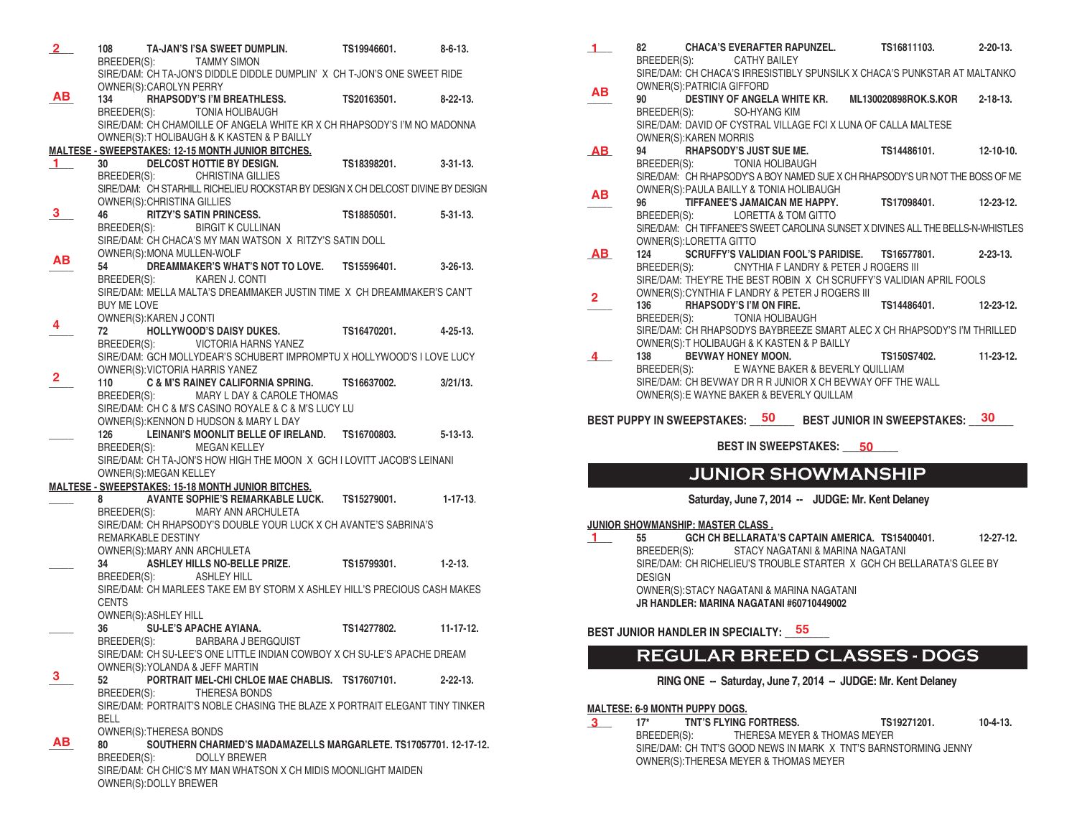| 2 <sup>2</sup> |                    |                             | 108 TA-JAN'S I'SA SWEET DUMPLIN.<br>BREEDER(S): TAMMY SIMON                                                                                                     | TS19946601.           | $8 - 6 - 13$ .  |
|----------------|--------------------|-----------------------------|-----------------------------------------------------------------------------------------------------------------------------------------------------------------|-----------------------|-----------------|
|                |                    |                             | SIRE/DAM: CH TA-JON'S DIDDLE DIDDLE DUMPLIN' X CH T-JON'S ONE SWEET RIDE                                                                                        |                       |                 |
|                |                    | OWNER(S):CAROLYN PERRY      |                                                                                                                                                                 |                       |                 |
| AB.            |                    |                             | 134 RHAPSODY'S I'M BREATHLESS. TS20163501. 8-22-13.                                                                                                             |                       |                 |
|                |                    |                             | BREEDER(S): TONIA HOLIBAUGH                                                                                                                                     |                       |                 |
|                |                    |                             | SIRE/DAM: CH CHAMOILLE OF ANGELA WHITE KR X CH RHAPSODY'S I'M NO MADONNA                                                                                        |                       |                 |
|                |                    |                             | OWNER(S): THOLIBAUGH & K KASTEN & P BAILLY                                                                                                                      |                       |                 |
|                |                    |                             | <b>MALTESE - SWEEPSTAKES: 12-15 MONTH JUNIOR BITCHES.</b>                                                                                                       |                       |                 |
| 1.             |                    |                             | 30 DELCOST HOTTIE BY DESIGN.                                                                                                                                    | TS18398201. 3-31-13.  |                 |
|                |                    |                             | BREEDER(S): CHRISTINA GILLIES                                                                                                                                   |                       |                 |
|                |                    |                             | SIRE/DAM: CH STARHILL RICHELIEU ROCKSTAR BY DESIGN X CH DELCOST DIVINE BY DESIGN                                                                                |                       |                 |
| 3              |                    | OWNER(S): CHRISTINA GILLIES |                                                                                                                                                                 |                       |                 |
|                |                    |                             | SEE THE STREET SAID STREET SAID SERVICES.<br>TS18850501. SAIT SAID STREET SAID SERVE SAID SERVED SAID STREET SHEED SAID SHEED SHEED SHEED SHEED SHEET KOLLLINAN |                       |                 |
|                |                    |                             | SIRE/DAM: CH CHACA'S MY MAN WATSON X RITZY'S SATIN DOLL                                                                                                         |                       |                 |
|                |                    |                             | OWNER(S): MONA MULLEN-WOLF                                                                                                                                      |                       |                 |
| AВ             |                    |                             | DREAMMAKER'S WHAT'S NOT TO LOVE. TS15596401. 3-26-13.                                                                                                           |                       |                 |
|                |                    |                             | BREEDER(S): KAREN J. CONTI                                                                                                                                      |                       |                 |
|                |                    |                             | SIRE/DAM: MELLA MALTA'S DREAMMAKER JUSTIN TIME X CH DREAMMAKER'S CAN'T                                                                                          |                       |                 |
|                | <b>BUY ME LOVE</b> |                             |                                                                                                                                                                 |                       |                 |
| 4              |                    | OWNER(S):KAREN J CONTI      |                                                                                                                                                                 |                       |                 |
|                | 72 —               |                             | HOLLYWOOD'S DAISY DUKES. TS16470201. 4-25-13.                                                                                                                   |                       |                 |
|                |                    |                             | BREEDER(S): VICTORIA HARNS YANEZ                                                                                                                                |                       |                 |
|                |                    |                             | SIRE/DAM: GCH MOLLYDEAR'S SCHUBERT IMPROMPTU X HOLLYWOOD'S I LOVE LUCY                                                                                          |                       |                 |
| $\mathbf{2}$   |                    |                             | OWNER(S): VICTORIA HARRIS YANEZ<br>110 C & M'S RAINEY CALIFORNIA SPRING. TS16637002. 3/21/13.                                                                   |                       |                 |
|                |                    |                             | BREEDER(S): MARY L DAY & CAROLE THOMAS                                                                                                                          |                       |                 |
|                |                    |                             | SIRE/DAM: CH C & M'S CASINO ROYALE & C & M'S LUCY LU                                                                                                            |                       |                 |
|                |                    |                             | OWNER(S): KENNON D HUDSON & MARY L DAY                                                                                                                          |                       |                 |
|                |                    |                             | 126 LEINANI'S MOONLIT BELLE OF IRELAND. TS16700803.                                                                                                             |                       | $5 - 13 - 13.$  |
|                |                    |                             | BREEDER(S): MEGAN KELLEY                                                                                                                                        |                       |                 |
|                |                    |                             | SIRE/DAM: CH TA-JON'S HOW HIGH THE MOON X GCH I LOVITT JACOB'S LEINANI                                                                                          |                       |                 |
|                |                    | OWNER(S): MEGAN KELLEY      |                                                                                                                                                                 |                       |                 |
|                |                    |                             | MALTESE - SWEEPSTAKES: 15-18 MONTH JUNIOR BITCHES.                                                                                                              |                       |                 |
|                |                    |                             | 8 AVANTE SOPHIE'S REMARKABLE LUCK. TS15279001. 1-17-13.<br>BREEDER(S): MARY ANN ARCHULETA                                                                       |                       |                 |
|                |                    |                             | SIRE/DAM: CH RHAPSODY'S DOUBLE YOUR LUCK X CH AVANTE'S SABRINA'S                                                                                                |                       |                 |
|                |                    | REMARKABLE DESTINY          |                                                                                                                                                                 |                       |                 |
|                |                    |                             | OWNER(S):MARY ANN ARCHULETA                                                                                                                                     |                       |                 |
|                |                    |                             | 34 ASHLEY HILLS NO-BELLE PRIZE. TS15799301. 1-2-13.                                                                                                             |                       |                 |
|                |                    |                             | BREEDER(S): ASHLEY HILL                                                                                                                                         |                       |                 |
|                |                    |                             | SIRE/DAM: CH MARLEES TAKE EM BY STORM X ASHLEY HILL'S PRECIOUS CASH MAKES                                                                                       |                       |                 |
|                | <b>CENTS</b>       |                             |                                                                                                                                                                 |                       |                 |
|                |                    | OWNER(S): ASHLEY HILL       |                                                                                                                                                                 |                       |                 |
|                |                    |                             | 36 SU-LE'S APACHE AYIANA.<br>BREEDER(S): BARBARA J BERGQUIST                                                                                                    | TS14277802. 11-17-12. |                 |
|                |                    |                             | SIRE/DAM: CH SU-LEE'S ONE LITTLE INDIAN COWBOY X CH SU-LE'S APACHE DREAM                                                                                        |                       |                 |
|                |                    |                             | OWNER(S): YOLANDA & JEFF MARTIN                                                                                                                                 |                       |                 |
| 3.             | 52                 |                             | PORTRAIT MEL-CHI CHLOE MAE CHABLIS. TS17607101.                                                                                                                 |                       | $2 - 22 - 13$ . |
|                | BREEDER(S):        |                             | THERESA BONDS                                                                                                                                                   |                       |                 |
|                |                    |                             | SIRE/DAM: PORTRAIT'S NOBLE CHASING THE BLAZE X PORTRAIT ELEGANT TINY TINKER                                                                                     |                       |                 |
|                | <b>BELL</b>        |                             |                                                                                                                                                                 |                       |                 |
| AB.            |                    | OWNER(S): THERESA BONDS     |                                                                                                                                                                 |                       |                 |
|                | 80                 |                             | SOUTHERN CHARMED'S MADAMAZELLS MARGARLETE. TS17057701. 12-17-12.                                                                                                |                       |                 |
|                | BREEDER(S):        |                             | <b>DOLLY BREWER</b><br>SIRE/DAM: CH CHIC'S MY MAN WHATSON X CH MIDIS MOONLIGHT MAIDEN                                                                           |                       |                 |
|                |                    | OWNER(S): DOLLY BREWER      |                                                                                                                                                                 |                       |                 |

|                | 82 CHACA'S EVERAFTER RAPUNZEL. TS16811103. 2-20-13.                                                                 |  |
|----------------|---------------------------------------------------------------------------------------------------------------------|--|
|                | BREEDER(S): CATHY BAILEY                                                                                            |  |
|                | SIRE/DAM: CH CHACA'S IRRESISTIBLY SPUNSILK X CHACA'S PUNKSTAR AT MALTANKO                                           |  |
| AB.            | OWNER(S): PATRICIA GIFFORD<br>DESTINY OF ANGELA WHITE KR. ML130020898ROK.S.KOR 2-18-13.<br>90                       |  |
|                | BREEDER(S): SO-HYANG KIM                                                                                            |  |
|                | SIRE/DAM: DAVID OF CYSTRAL VILLAGE FCI X LUNA OF CALLA MALTESE                                                      |  |
|                | <b>OWNER(S): KAREN MORRIS</b>                                                                                       |  |
| AB.            | RHAPSODY'S JUST SUE ME. TS14486101. 12-10-10.<br>94                                                                 |  |
|                | BREEDER(S):<br>TONIA HOLIBAUGH                                                                                      |  |
|                | SIRE/DAM: CH RHAPSODY'S A BOY NAMED SUE X CH RHAPSODY'S UR NOT THE BOSS OF ME                                       |  |
| <b>AB</b>      | OWNER(S): PAULA BAILLY & TONIA HOLIBAUGH                                                                            |  |
|                | 96 TIFFANEE'S JAMAICAN ME HAPPY. TS17098401. 12-23-12.                                                              |  |
|                | BREEDER(S): LORETTA & TOM GITTO<br>SIRE/DAM: CH TIFFANEE'S SWEET CAROLINA SUNSET X DIVINES ALL THE BELLS-N-WHISTLES |  |
|                | OWNER(S):LORETTA GITTO                                                                                              |  |
| AB             | SCRUFFY'S VALIDIAN FOOL'S PARIDISE. TS16577801. 2-23-13.<br>124                                                     |  |
|                | BREEDER(S):<br>CNYTHIA F LANDRY & PETER J ROGERS III                                                                |  |
|                | SIRE/DAM: THEY'RE THE BEST ROBIN X CH SCRUFFY'S VALIDIAN APRIL FOOLS                                                |  |
| $\overline{2}$ | OWNER(S): CYNTHIA F LANDRY & PETER J ROGERS III                                                                     |  |
|                | 136 RHAPSODY'S I'M ON FIRE.<br>BREEDER(S): TONIA HOLIBAUGH TS14486401. 12-23-12.                                    |  |
|                | SIRE/DAM: CH RHAPSODYS BAYBREEZE SMART ALEC X CH RHAPSODY'S I'M THRILLED                                            |  |
|                | OWNER(S): THOLIBAUGH & K KASTEN & P BAILLY                                                                          |  |
|                | BEVWAY HONEY MOON. TS150S7402. 11-23-12.<br>138                                                                     |  |
|                | BREEDER(S): E WAYNE BAKER & BEVERLY QUILLIAM                                                                        |  |
|                | SIRE/DAM: CH BEVWAY DR R R JUNIOR X CH BEVWAY OFF THE WALL                                                          |  |
|                | OWNER(S): E WAYNE BAKER & BEVERLY QUILLAM                                                                           |  |
|                | BEST PUPPY IN SWEEPSTAKES: 50 BEST JUNIOR IN SWEEPSTAKES: 30                                                        |  |
|                |                                                                                                                     |  |
|                | BEST IN SWEEPSTAKES: 50                                                                                             |  |
|                |                                                                                                                     |  |

## **JUNIOR SHOWMANSHIP**

### **Saturday, June 7, 2014 -- JUDGE: Mr. Kent Delaney**

**JUNIOR SHOWMANSHIP: MASTER CLASS .** 

**\_\_\_\_\_ 55 GCH CH BELLARATA'S CAPTAIN AMERICA. TS15400401. 12-27-12.** STACY NAGATANI & MARINA NAGATANI SIRE/DAM: CH RICHELIEU'S TROUBLE STARTER X GCH CH BELLARATA'S GLEE BY DESIGN OWNER(S):STACY NAGATANI & MARINA NAGATANI **JR HANDLER: MARINA NAGATANI #60710449002 1** 

BEST JUNIOR HANDLER IN SPECIALTY: \_\_\_ 55  **55**

## **REGULAR BREED CLASSES - DOGS**

### **RING ONE -- Saturday, June 7, 2014 -- JUDGE: Mr. Kent Delaney**

# **MALTESE: 6-9 MONTH PUPPY DOGS.**

**\_\_\_\_\_ 17\* TNT'S FLYING FORTRESS. TS19271201. 10-4-13.** BREEDER(S): THERESA MEYER & THOMAS MEYER SIRE/DAM: CH TNT'S GOOD NEWS IN MARK X TNT'S BARNSTORMING JENNY OWNER(S):THERESA MEYER & THOMAS MEYER **3**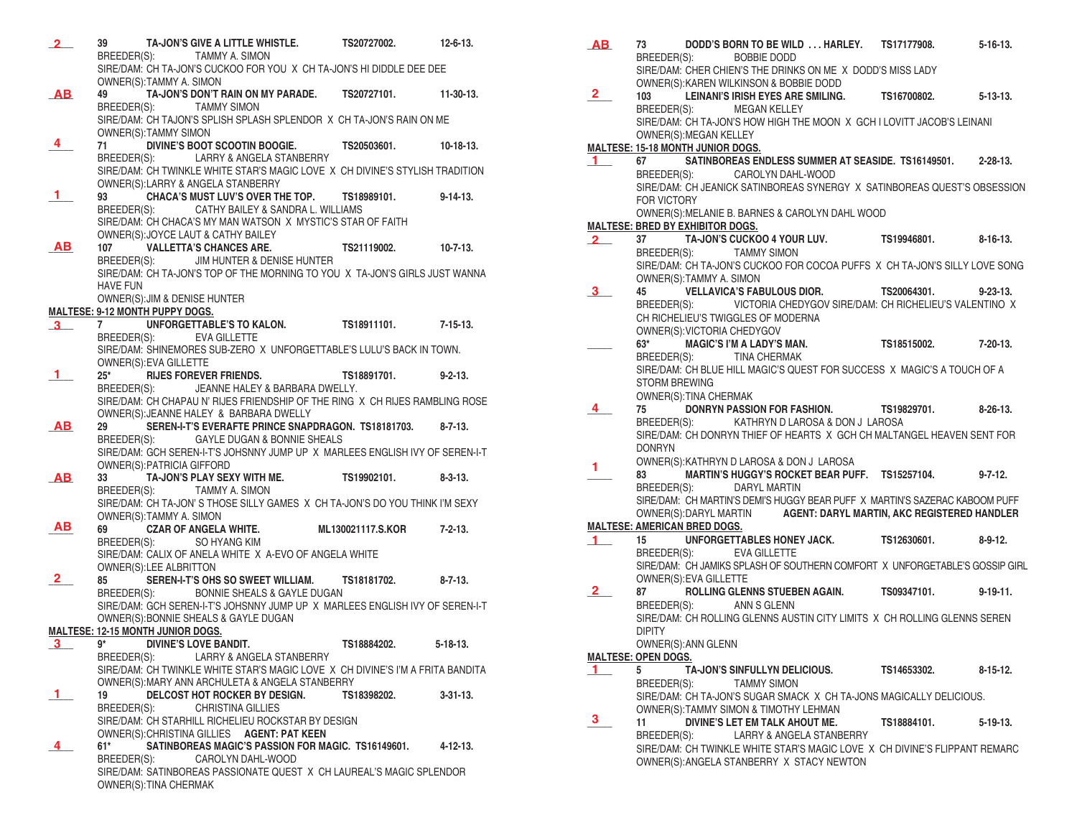- **\_\_\_\_\_ 39 TA-JON'S GIVE A LITTLE WHISTLE. TS20727002. 12-6-13.** BREEDER(S): TAMMY A. SIMON SIRE/DAM: CH TA-JON'S CUCKOO FOR YOU X CH TA-JON'S HI DIDDLE DEE DEE OWNER(S):TAMMY A. SIMON<br>49 TA-JON'S DON'T F **\_\_\_\_\_ 49 TA-JON'S DON'T RAIN ON MY PARADE. TS20727101. 11-30-13.** TAMMY SIMON SIRE/DAM: CH TAJON'S SPLISH SPLASH SPLENDOR X CH TA-JON'S RAIN ON ME OWNER(S):TAMMY SIMON **\_\_\_\_\_ 71 DIVINE'S BOOT SCOOTIN BOOGIE. TS20503601. 10-18-13.** BREEDER(S): LARRY & ANGELA STANBERRY SIRE/DAM: CH TWINKLE WHITE STAR'S MAGIC LOVE X CH DIVINE'S STYLISH TRADITION OWNER(S):LARRY & ANGELA STANBERRY<br>93 **CHACA'S MUST LUV'S OVER TH \_\_\_\_\_ 93 CHACA'S MUST LUV'S OVER THE TOP. TS18989101. 9-14-13.** BREEDER(S): CATHY BAILEY & SANDRA L. WILLIAMS SIRE/DAM: CH CHACA'S MY MAN WATSON X MYSTIC'S STAR OF FAITH OWNER(S):JOYCE LAUT & CATHY BAILEY **107 VALLETTA'S CHANCES ARE. TS21119002. 10-7-13. BREEDER(S):** JIM HUNTER & DENISE HUNTER **JIM HUNTER & DENISE HUNTER** SIRE/DAM: CH TA-JON'S TOP OF THE MORNING TO YOU X TA-JON'S GIRLS JUST WANNA HAVE FUN OWNER(S):JIM & DENISE HUNTER **MALTESE: 9-12 MONTH PUPPY DOGS. \_\_\_\_\_ 7 UNFORGETTABLE'S TO KALON. TS18911101. 7-15-13.**  BREEDER(S): EVA GILLETTE SIRE/DAM: SHINEMORES SUB-ZERO X UNFORGETTABLE'S LULU'S BACK IN TOWN. OWNER(S):EVA GILLETTE **\_\_\_\_\_ 25\* RIJES FOREVER FRIENDS. TS18891701. 9-2-13.** BREEDER(S): JEANNE HALEY & BARBARA DWELLY. SIRE/DAM: CH CHAPAU N' RIJES FRIENDSHIP OF THE RING X CH RIJES RAMBLING ROSE OWNER(S):JEANNE HALEY & BARBARA DWELLY **\_\_\_\_\_ 29 SEREN-I-T'S EVERAFTE PRINCE SNAPDRAGON. TS18181703. 8-7-13.** BREEDER(S): GAYLE DUGAN & BONNIE SHEALS SIRE/DAM: GCH SEREN-I-T'S JOHSNNY JUMP UP X MARLEES ENGLISH IVY OF SEREN-I-T OWNER(S):PATRICIA GIFFORD<br>33 TA-JON'S PLAY SEX **\_\_\_\_\_ 33 TA-JON'S PLAY SEXY WITH ME. TS19902101. 8-3-13.** BREEDER(S): TAMMY A. SIMON SIRE/DAM: CH TA-JON' S THOSE SILLY GAMES X CH TA-JON'S DO YOU THINK I'M SEXY OWNER(S):TAMMY A. SIMON **\_\_\_\_\_ 69 CZAR OF ANGELA WHITE. ML130021117.S.KOR 7-2-13.** BREEDER(S): SO HYANG KIM SIRE/DAM: CALIX OF ANELA WHITE X A-EVO OF ANGELA WHITE OWNER(S):LEE ALBRITTON **\_\_\_\_\_ 85 SEREN-I-T'S OHS SO SWEET WILLIAM. TS18181702. 8-7-13.** BREEDER(S): BONNIE SHEALS & GAYLE DUGAN SIRE/DAM: GCH SEREN-I-T'S JOHSNNY JUMP UP X MARLEES ENGLISH IVY OF SEREN-I-T OWNER(S):BONNIE SHEALS & GAYLE DUGAN **MALTESE: 12-15 MONTH JUNIOR DOGS. \_\_\_\_\_ 9\* DIVINE'S LOVE BANDIT. TS18884202. 5-18-13.** BREEDER(S): LARRY & ANGELA STANBERRY SIRE/DAM: CH TWINKLE WHITE STAR'S MAGIC LOVE X CH DIVINE'S I'M A FRITA BANDITA OWNER(S):MARY ANN ARCHULETA & ANGELA STANBERRY<br>19 DEL COST HOT BOCKER BY DESIGN TS18398202 **\_\_\_\_\_ 19 DELCOST HOT ROCKER BY DESIGN. TS18398202. 3-31-13.**  BREEDER(S): CHRISTINA GILLIES SIRE/DAM: CH STARHILL RICHELIEU ROCKSTAR BY DESIGN OWNER(S):CHRISTINA GILLIES **AGENT: PAT KEEN \_\_\_\_\_ 61\* SATINBOREAS MAGIC'S PASSION FOR MAGIC. TS16149601. 4-12-13.** CAROLYN DAHL-WOOD SIRE/DAM: SATINBOREAS PASSIONATE QUEST X CH LAUREAL'S MAGIC SPLENDOR OWNER(S):TINA CHERMAK **2 AB 4 1 AB 3 1 AB AB AB 2 3 1 4**
- **\_\_\_\_\_ 73 DODD'S BORN TO BE WILD . . . HARLEY. TS17177908. 5-16-13.** BREEDER(S): BOBBIE DODD SIRE/DAM: CHER CHIEN'S THE DRINKS ON ME X DODD'S MISS LADY OWNER(S):KAREN WILKINSON & BOBBIE DODD **\_\_\_\_\_ 103 LEINANI'S IRISH EYES ARE SMILING. TS16700802. 5-13-13.**  BREEDER(S): MEGAN KELLEY SIRE/DAM: CH TA-JON'S HOW HIGH THE MOON X GCH I LOVITT JACOB'S LEINANI OWNER(S):MEGAN KELLEY **MALTESE: 15-18 MONTH JUNIOR DOGS. \_\_\_\_\_ 67 SATINBOREAS ENDLESS SUMMER AT SEASIDE. TS16149501. 2-28-13.** BREEDER(S): CAROLYN DAHL-WOOD SIRE/DAM: CH JEANICK SATINBOREAS SYNERGY X SATINBOREAS QUEST'S OBSESSION FOR VICTORY OWNER(S):MELANIE B. BARNES & CAROLYN DAHL WOOD **MALTESE: BRED BY EXHIBITOR DOGS. \_\_\_\_\_ 37 TA-JON'S CUCKOO 4 YOUR LUV. TS19946801. 8-16-13.**  BREEDER(S): TAMMY SIMON SIRE/DAM: CH TA-JON'S CUCKOO FOR COCOA PUFFS X CH TA-JON'S SILLY LOVE SONG OWNER(S):TAMMY A. SIMON<br>45 **VELLAVICA'S FAE \_\_\_\_\_ 45 VELLAVICA'S FABULOUS DIOR. TS20064301. 9-23-13.**  VICTORIA CHEDYGOV SIRE/DAM: CH RICHELIEU'S VALENTINO X CH RICHELIEU'S TWIGGLES OF MODERNA OWNER(S): VICTORIA CHEDYGOV<br>63\* MAGIC'S I'M A LADY'S **\_\_\_\_\_ 63\* MAGIC'S I'M A LADY'S MAN. TS18515002. 7-20-13.** BREEDER(S): TINA CHERMAK SIRE/DAM: CH BLUE HILL MAGIC'S QUEST FOR SUCCESS X MAGIC'S A TOUCH OF A STORM BREWING OWNER(S):TINA CHERMAK **\_\_\_\_\_ 75 DONRYN PASSION FOR FASHION. TS19829701. 8-26-13.**  BREEDER(S): KATHRYN D LAROSA & DON J LAROSA SIRE/DAM: CH DONRYN THIEF OF HEARTS X GCH CH MALTANGEL HEAVEN SENT FOR DONRYN OWNER(S):KATHRYN D LAROSA & DON J LAROSA **\_\_\_\_\_ 83 MARTIN'S HUGGY'S ROCKET BEAR PUFF. TS15257104. 9-7-12.** BREEDER(S): DARYL MARTIN SIRE/DAM: CH MARTIN'S DEMI'S HUGGY BEAR PUFF X MARTIN'S SAZERAC KABOOM PUFF OWNER(S):DARYL MARTIN **AGENT: DARYL MARTIN, AKC REGISTERED HANDLER MALTESE: AMERICAN BRED DOGS. \_\_\_\_\_ 15 UNFORGETTABLES HONEY JACK. TS12630601. 8-9-12.** BREEDER(S): EVA GILLETTE SIRE/DAM: CH JAMIKS SPLASH OF SOUTHERN COMFORT X UNFORGETABLE'S GOSSIP GIRL OWNER(S):EVA GILLETTE **\_\_\_\_\_ 87 ROLLING GLENNS STUEBEN AGAIN. TS09347101. 9-19-11.** BREEDER(S): ANN S GLENN SIRE/DAM: CH ROLLING GLENNS AUSTIN CITY LIMITS X CH ROLLING GLENNS SEREN DIPITY OWNER(S):ANN GLENN **MALTESE: OPEN DOGS. \_\_\_\_\_ 5 TA-JON'S SINFULLYN DELICIOUS. TS14653302. 8-15-12.** BREEDER(S): TAMMY SIMON SIRE/DAM: CH TA-JON'S SUGAR SMACK X CH TA-JONS MAGICALLY DELICIOUS. OWNER(S):TAMMY SIMON & TIMOTHY LEHMAN **\_\_\_\_\_ 11 DIVINE'S LET EM TALK AHOUT ME. TS18884101. 5-19-13.** BREEDER(S): LARRY & ANGELA STANBERRY SIRE/DAM: CH TWINKLE WHITE STAR'S MAGIC LOVE X CH DIVINE'S FLIPPANT REMARC OWNER(S):ANGELA STANBERRY X STACY NEWTON **AB 2 1 2 3 4 1 1 2 1 3**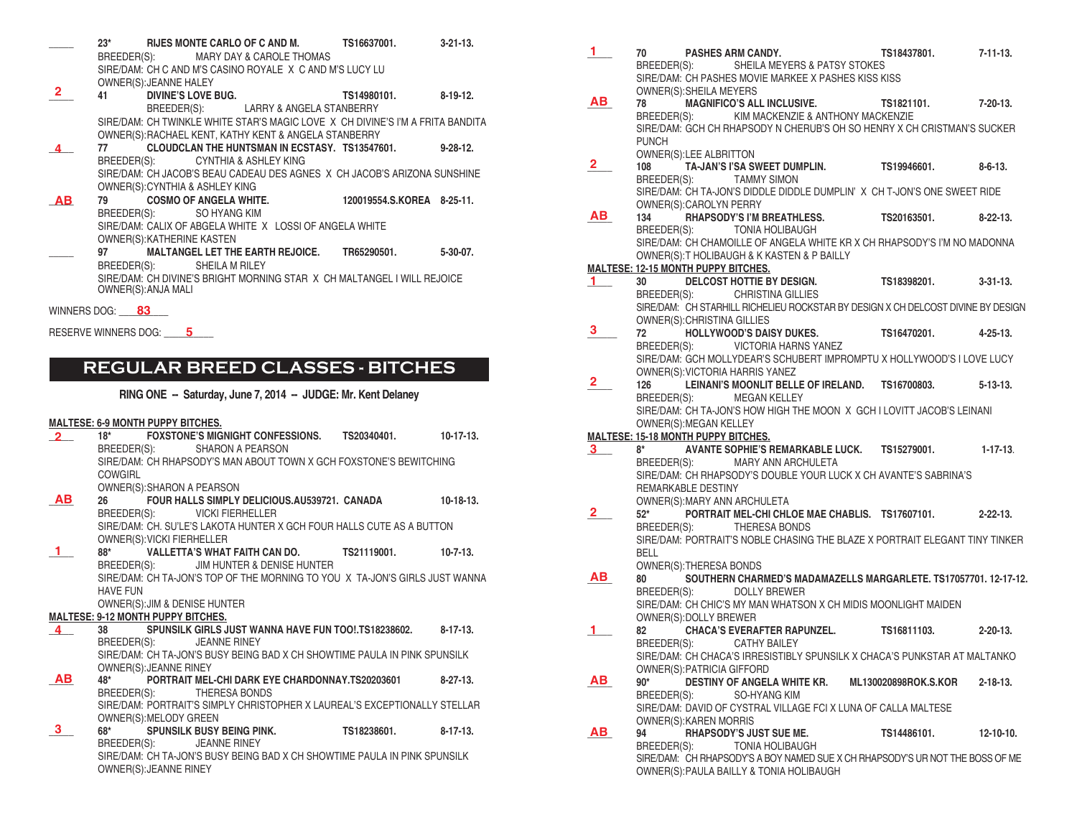- **\_\_\_\_\_ 23\* RIJES MONTE CARLO OF C AND M. TS16637001. 3-21-13.** MARY DAY & CAROLE THOMAS SIRE/DAM: CH C AND M'S CASINO ROYALE X C AND M'S LUCY LU OWNER(S):JEANNE HALEY
- **\_\_\_\_\_ 41 DIVINE'S LOVE BUG. TS14980101. 8-19-12.** BREEDER(S): LARRY & ANGELA STANBERRY SIRE/DAM: CH TWINKLE WHITE STAR'S MAGIC LOVE X CH DIVINE'S I'M A FRITA BANDITA OWNER(S):RACHAEL KENT, KATHY KENT & ANGELA STANBERRY **2**
- **\_\_\_\_\_ 77 CLOUDCLAN THE HUNTSMAN IN ECSTASY. TS13547601. 9-28-12.** BREEDER(S): CYNTHIA & ASHLEY KING SIRE/DAM: CH JACOB'S BEAU CADEAU DES AGNES X CH JACOB'S ARIZONA SUNSHINE OWNER(S):CYNTHIA & ASHLEY KING **\_\_\_\_\_ 79 COSMO OF ANGELA WHITE. 120019554.S.KOREA 8-25-11. 4**
- BREEDER(S): SO HYANG KIM SIRE/DAM: CALIX OF ABGELA WHITE X LOSSI OF ANGELA WHITE OWNER(S):KATHERINE KASTEN **AB**
- **\_\_\_\_\_ 97 MALTANGEL LET THE EARTH REJOICE. TR65290501. 5-30-07.** BREEDER(S): SHEILA M RILEY SIRE/DAM: CH DIVINE'S BRIGHT MORNING STAR X CH MALTANGEL I WILL REJOICE OWNER(S):ANJA MALI

WINNERS DOG: \_\_\_\_\_\_\_\_\_\_  **83** 

RESERVE WINNERS DOG: **5** 

## **REGULAR BREED CLASSES - BITCHES**

**RING ONE -- Saturday, June 7, 2014 -- JUDGE: Mr. Kent Delaney**

### **MALTESE: 6-9 MONTH PUPPY BITCHES.**

| $\overline{2}$ |                 |                                           |                                        | 18* FOXSTONE'S MIGNIGHT CONFESSIONS. TS20340401. 10-17-13.                  |             |
|----------------|-----------------|-------------------------------------------|----------------------------------------|-----------------------------------------------------------------------------|-------------|
|                |                 |                                           | BREEDER(S): SHARON A PEARSON           |                                                                             |             |
|                |                 |                                           |                                        | SIRE/DAM: CH RHAPSODY'S MAN ABOUT TOWN X GCH FOXSTONE'S BEWITCHING          |             |
|                | <b>COWGIRL</b>  |                                           |                                        |                                                                             |             |
|                |                 | OWNER(S): SHARON A PEARSON                |                                        |                                                                             |             |
| AB             |                 |                                           |                                        |                                                                             | $10-18-13.$ |
|                |                 |                                           | BREEDER(S): VICKI FIERHELLER           |                                                                             |             |
|                |                 |                                           |                                        | SIRE/DAM: CH. SU'LE'S LAKOTA HUNTER X GCH FOUR HALLS CUTE AS A BUTTON       |             |
|                |                 |                                           |                                        |                                                                             |             |
|                |                 | OWNER(S): VICKI FIERHELLER                |                                        |                                                                             |             |
|                |                 |                                           |                                        | 88* VALLETTA'S WHAT FAITH CAN DO. TS21119001. 10-7-13.                      |             |
|                |                 |                                           | BREEDER(S): JIM HUNTER & DENISE HUNTER |                                                                             |             |
|                |                 |                                           |                                        | SIRE/DAM: CH TA-JON'S TOP OF THE MORNING TO YOU X TA-JON'S GIRLS JUST WANNA |             |
|                | <b>HAVE FUN</b> |                                           |                                        |                                                                             |             |
|                |                 |                                           | OWNER(S): JIM & DENISE HUNTER          |                                                                             |             |
|                |                 | <b>MALTESE: 9-12 MONTH PUPPY BITCHES.</b> |                                        |                                                                             |             |
| $\overline{4}$ |                 |                                           |                                        | 38 SPUNSILK GIRLS JUST WANNA HAVE FUN TOO! TS18238602. 8-17-13.             |             |
|                |                 |                                           | BREEDER(S): JEANNE RINEY               |                                                                             |             |
|                |                 |                                           |                                        | SIRE/DAM: CH TA-JON'S BUSY BEING BAD X CH SHOWTIME PAULA IN PINK SPUNSILK   |             |
|                |                 | OWNER(S): JEANNE RINEY                    |                                        |                                                                             |             |
| <b>AB</b>      |                 |                                           |                                        | 48* PORTRAIT MEL-CHI DARK EYE CHARDONNAY.TS20203601 8-27-13.                |             |
|                |                 |                                           | BREEDER(S): THERESA BONDS              |                                                                             |             |
|                |                 |                                           |                                        | SIRE/DAM: PORTRAIT'S SIMPLY CHRISTOPHER X LAUREAL'S EXCEPTIONALLY STELLAR   |             |
|                |                 | OWNER(S): MELODY GREEN                    |                                        |                                                                             |             |
| 3.             |                 |                                           |                                        | 68* SPUNSILK BUSY BEING PINK. TS18238601. 8-17-13.                          |             |
|                |                 |                                           | BREEDER(S): JEANNE RINEY               |                                                                             |             |
|                |                 |                                           |                                        | SIRE/DAM: CH TA, ION'S RHSY REING RAD Y CH SHOWTIME RAHLA IN RINK SPHNSILK  |             |

RE/DAM: CH TA-JON'S BUSY BEING BAD X CH SHOWTIME PAULA IN PINK SPUNS OWNER(S):JEANNE RINEY

**\_\_\_\_\_ 70 PASHES ARM CANDY. TS18437801. 7-11-13.** SHEILA MEYERS & PATSY STOKES SIRE/DAM: CH PASHES MOVIE MARKEE X PASHES KISS KISS OWNER(S):SHEILA MEYERS<br>78 MAGNIFICO'S AL **\_\_\_\_\_ 78 MAGNIFICO'S ALL INCLUSIVE. TS1821101. 7-20-13.** BREEDER(S): KIM MACKENZIE & ANTHONY MACKENZIE SIRE/DAM: GCH CH RHAPSODY N CHERUB'S OH SO HENRY X CH CRISTMAN'S SUCKER PUNCH OWNER(S):LEE ALBRITTON<br>108 TA-JAN'S I'SA SV **\_\_\_\_\_ 108 TA-JAN'S I'SA SWEET DUMPLIN. TS19946601. 8-6-13.** BREEDER(S): TAMMY SIMON SIRE/DAM: CH TA-JON'S DIDDLE DIDDLE DUMPLIN' X CH T-JON'S ONE SWEET RIDE OWNER(S):CAROLYN PERRY **\_\_\_\_\_ 134 RHAPSODY'S I'M BREATHLESS. TS20163501. 8-22-13.** TONIA HOLIBAUGH SIRE/DAM: CH CHAMOILLE OF ANGELA WHITE KR X CH RHAPSODY'S I'M NO MADONNA OWNER(S):T HOLIBAUGH & K KASTEN & P BAILLY **MALTESE: 12-15 MONTH PUPPY BITCHES. \_\_\_\_\_ 30 DELCOST HOTTIE BY DESIGN. TS18398201. 3-31-13.** BREEDER(S): CHRISTINA GILLIES SIRE/DAM: CH STARHILL RICHELIEU ROCKSTAR BY DESIGN X CH DELCOST DIVINE BY DESIGN OWNER(S):CHRISTINA GILLIES **Rubber 12 <b>HOLLYWOOD'S DAISY DUKES.** TS16470201. 4-25-13.<br> **BREEDER(S):** CONTINING MARING YANEZ VICTORIA HARNS YANEZ SIRE/DAM: GCH MOLLYDEAR'S SCHUBERT IMPROMPTU X HOLLYWOOD'S I LOVE LUCY OWNER(S): VICTORIA HARRIS YANEZ<br>126 LEINANI'S MOONLIT BELL **\_\_\_\_\_ 126 LEINANI'S MOONLIT BELLE OF IRELAND. TS16700803. 5-13-13.** BREEDER(S): MEGAN KELLEY SIRE/DAM: CH TA-JON'S HOW HIGH THE MOON X GCH I LOVITT JACOB'S LEINANI OWNER(S):MEGAN KELLEY **MALTESE: 15-18 MONTH PUPPY BITCHES.**  8\* **AVANTE SOPHIE'S REMARKABLE LUCK. TS15279001.** 1-17-13.<br>BREEDER(S): MARY ANN ARCHULETA MARY ANN ARCHULETA SIRE/DAM: CH RHAPSODY'S DOUBLE YOUR LUCK X CH AVANTE'S SABRINA'S REMARKABLE DESTINY OWNER(S):MARY ANN ARCHULETA **\_\_\_\_\_ 52\* PORTRAIT MEL-CHI CHLOE MAE CHABLIS. TS17607101. 2-22-13.** BREEDER(S): THERESA BONDS SIRE/DAM: PORTRAIT'S NOBLE CHASING THE BLAZE X PORTRAIT ELEGANT TINY TINKER BELL OWNER(S):THERESA BONDS **\_\_\_\_\_ 80 SOUTHERN CHARMED'S MADAMAZELLS MARGARLETE. TS17057701. 12-17-12.** BREEDER(S): DOLLY BREWER SIRE/DAM: CH CHIC'S MY MAN WHATSON X CH MIDIS MOONLIGHT MAIDEN OWNER(S):DOLLY BREWER **\_\_\_\_\_ 82 CHACA'S EVERAFTER RAPUNZEL. TS16811103. 2-20-13.** BREEDER(S): SIRE/DAM: CH CHACA'S IRRESISTIBLY SPUNSILK X CHACA'S PUNKSTAR AT MALTANKO OWNER(S):PATRICIA GIFFORD<br>90\* DESTINY OF ANGEL **\_\_\_\_\_ 90\* DESTINY OF ANGELA WHITE KR. ML130020898ROK.S.KOR 2-18-13.** BREEDER(S): SO-HYANG KIM SIRE/DAM: DAVID OF CYSTRAL VILLAGE FCI X LUNA OF CALLA MALTESE OWNER(S):KAREN MORRIS **\_\_\_\_\_ 94 RHAPSODY'S JUST SUE ME. TS14486101. 12-10-10.** TONIA HOLIBAUGH SIRE/DAM: CH RHAPSODY'S A BOY NAMED SUE X CH RHAPSODY'S UR NOT THE BOSS OF ME OWNER(S):PAULA BAILLY & TONIA HOLIBAUGH **1 AB 2 AB 1 3 2 3 2 AB 1 AB AB**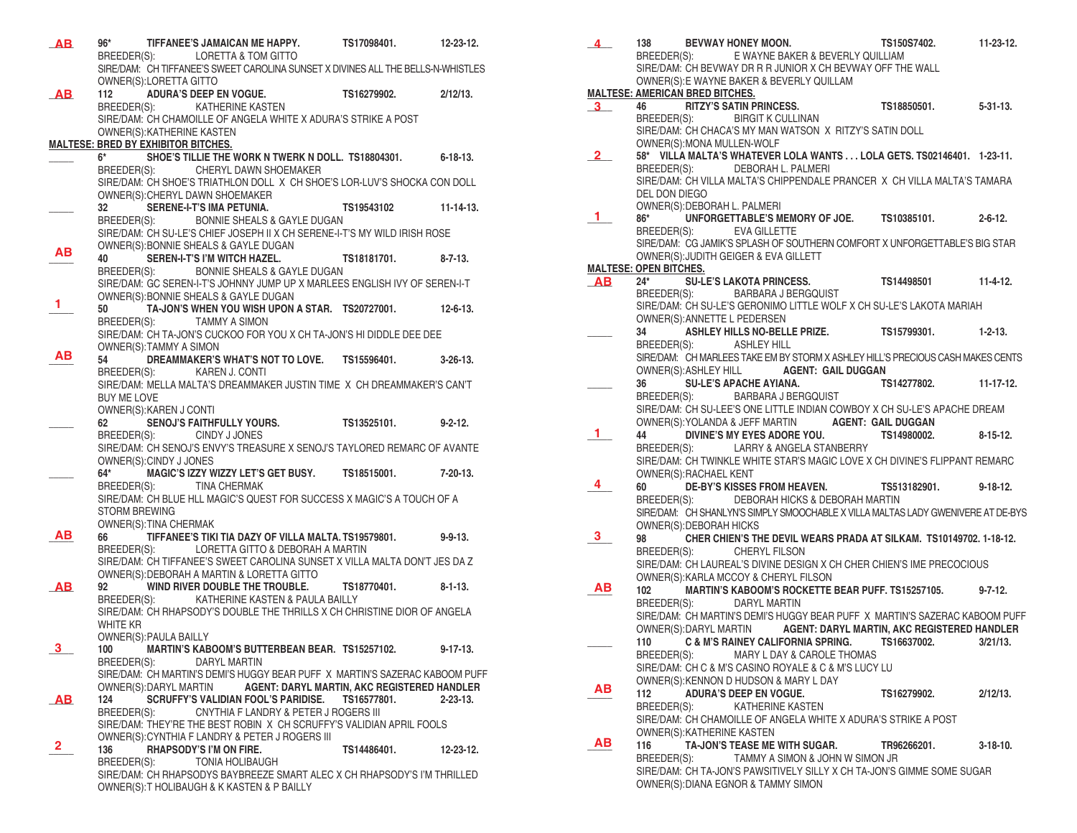| AB           | 96*                                                  | TIFFANEE'S JAMAICAN ME HAPPY.<br>BREEDER(S): LORETTA & TOM GITTO                                                                                         | TS17098401.          | $12 - 23 - 12$ . |
|--------------|------------------------------------------------------|----------------------------------------------------------------------------------------------------------------------------------------------------------|----------------------|------------------|
|              |                                                      | SIRE/DAM: CH TIFFANEE'S SWEET CAROLINA SUNSET X DIVINES ALL THE BELLS-N-WHISTLES                                                                         |                      |                  |
| AB           | OWNER(S):LORETTA GITTO<br>112                        | <b>ADURA'S DEEP EN VOGUE.</b>                                                                                                                            | TS16279902.          | $2/12/13$ .      |
|              | BREEDER(S):                                          | <b>KATHERINE KASTEN</b><br>SIRE/DAM: CH CHAMOILLE OF ANGELA WHITE X ADURA'S STRIKE A POST                                                                |                      |                  |
|              | OWNER(S): KATHERINE KASTEN                           |                                                                                                                                                          |                      |                  |
|              | MALTESE: BRED BY EXHIBITOR BITCHES.<br>$6*$ $\qquad$ | SHOE'S TILLIE THE WORK N TWERK N DOLL. TS18804301. 6-18-13.                                                                                              |                      |                  |
|              |                                                      | BREEDER(S): CHERYL DAWN SHOEMAKER                                                                                                                        |                      |                  |
|              |                                                      | SIRE/DAM: CH SHOE'S TRIATHLON DOLL X CH SHOE'S LOR-LUV'S SHOCKA CON DOLL<br>OWNER(S): CHERYL DAWN SHOEMAKER                                              |                      |                  |
|              | 32                                                   | SERENE-I-T'S IMA PETUNIA.                                                                                                                                | TS19543102 11-14-13. |                  |
|              | BREEDER(S):                                          | BONNIE SHEALS & GAYLE DUGAN<br>SIRE/DAM: CH SU-LE'S CHIEF JOSEPH II X CH SERENE-I-T'S MY WILD IRISH ROSE                                                 |                      |                  |
| ΑВ           |                                                      | OWNER(S): BONNIE SHEALS & GAYLE DUGAN                                                                                                                    |                      |                  |
|              | 40<br>BREEDER(S):                                    | SEREN-I-T'S I'M WITCH HAZEL.<br><b>BONNIE SHEALS &amp; GAYLE DUGAN</b>                                                                                   | TS18181701.          | $8 - 7 - 13$ .   |
|              |                                                      | SIRE/DAM: GC SEREN-I-T'S JOHNNY JUMP UP X MARLEES ENGLISH IVY OF SEREN-I-T                                                                               |                      |                  |
| 1            | 50                                                   | OWNER(S): BONNIE SHEALS & GAYLE DUGAN<br>TA-JON'S WHEN YOU WISH UPON A STAR. TS20727001. 12-6-13.                                                        |                      |                  |
|              | BREEDER(S):                                          | TAMMY A SIMON                                                                                                                                            |                      |                  |
|              | OWNER(S):TAMMY A SIMON                               | SIRE/DAM: CH TA-JON'S CUCKOO FOR YOU X CH TA-JON'S HI DIDDLE DEE DEE                                                                                     |                      |                  |
| ΑВ           | 54                                                   | DREAMMAKER'S WHAT'S NOT TO LOVE. TS15596401.                                                                                                             |                      | 3-26-13.         |
|              |                                                      | BREEDER(S): KAREN J. CONTI<br>SIRE/DAM: MELLA MALTA'S DREAMMAKER JUSTIN TIME X CH DREAMMAKER'S CAN'T                                                     |                      |                  |
|              | <b>BUY ME LOVE</b>                                   |                                                                                                                                                          |                      |                  |
|              | OWNER(S):KAREN J CONTI<br>62                         | SENOJ'S FAITHFULLY YOURS.                                                                                                                                | TS13525101.          | $9 - 2 - 12.$    |
|              |                                                      | BREEDER(S): CINDY J JONES<br>SIRE/DAM: CH SENOJ'S ENVY'S TREASURE X SENOJ'S TAYLORED REMARC OF AVANTE                                                    |                      |                  |
|              | OWNER(S): CINDY J JONES                              |                                                                                                                                                          |                      |                  |
|              |                                                      | 64* MAGIC'S IZZY WIZZY LET'S GET BUSY.<br>BREEDER(S): TINA CHERMAK                                                                                       | TS18515001.          | 7-20-13.         |
|              |                                                      | SIRE/DAM: CH BLUE HLL MAGIC'S QUEST FOR SUCCESS X MAGIC'S A TOUCH OF A                                                                                   |                      |                  |
|              | <b>STORM BREWING</b><br>OWNER(S): TINA CHERMAK       |                                                                                                                                                          |                      |                  |
| AB.          | 66                                                   | TIFFANEE'S TIKI TIA DAZY OF VILLA MALTA. TS19579801.<br>LORETTA GITTO & DEBORAH A MARTIN                                                                 |                      | 9-9-13.          |
|              | BREEDER(S):                                          | SIRE/DAM: CH TIFFANEE'S SWEET CAROLINA SUNSET X VILLA MALTA DON'T JES DA Z                                                                               |                      |                  |
| <b>AB</b>    | 92                                                   | OWNER(S): DEBORAH A MARTIN & LORETTA GITTO<br>WIND RIVER DOUBLE THE TROUBLE.                                                                             | TS18770401.          | $8 - 1 - 13$     |
|              | BREEDER(S):                                          | KATHERINE KASTEN & PAULA BAILLY                                                                                                                          |                      |                  |
|              | WHITE KR                                             | SIRE/DAM: CH RHAPSODY'S DOUBLE THE THRILLS X CH CHRISTINE DIOR OF ANGELA                                                                                 |                      |                  |
| 3            | <b>OWNER(S): PAULA BAILLY</b>                        |                                                                                                                                                          |                      |                  |
|              | 100<br>BREEDER(S):                                   | MARTIN'S KABOOM'S BUTTERBEAN BEAR. TS15257102.<br>DARYL MARTIN                                                                                           |                      | $9 - 17 - 13$ .  |
|              |                                                      | SIRE/DAM: CH MARTIN'S DEMI'S HUGGY BEAR PUFF X MARTIN'S SAZERAC KABOOM PUFF<br>OWNER(S): DARYL MARTIN <b>AGENT: DARYL MARTIN, AKC REGISTERED HANDLER</b> |                      |                  |
| <b>AB</b>    | 124                                                  | SCRUFFY'S VALIDIAN FOOL'S PARIDISE.                                                                                                                      | TS16577801.          | $2 - 23 - 13$ .  |
|              | BREEDER(S):                                          | CNYTHIA F LANDRY & PETER J ROGERS III<br>SIRE/DAM: THEY'RE THE BEST ROBIN X CH SCRUFFY'S VALIDIAN APRIL FOOLS                                            |                      |                  |
| $\mathbf{2}$ |                                                      | OWNER(S): CYNTHIA F LANDRY & PETER J ROGERS III                                                                                                          |                      |                  |
|              | 136<br>BREEDER(S):                                   | RHAPSODY'S I'M ON FIRE.<br>TONIA HOLIBAUGH                                                                                                               | TS14486401.          | $12 - 23 - 12$ . |
|              |                                                      | SIRE/DAM: CH RHAPSODYS BAYBREEZE SMART ALEC X CH RHAPSODY'S I'M THRILLED                                                                                 |                      |                  |
|              |                                                      | OWNER(S): THOLIBAUGH & K KASTEN & P BAILLY                                                                                                               |                      |                  |

| $\overline{4}$                    |                                        |                                                                                      | 138 BEVWAY HONEY MOON.<br>BREEDER(S): E WAYNE BAKER & BEVERLY QUILLIAM<br>SIRE/DAM: CH BEVWAY DR R R JUNIOR X CH BEVWAY OFF THE WALL | TS150S7402.                                                                                                                      | 11-23-12.        |
|-----------------------------------|----------------------------------------|--------------------------------------------------------------------------------------|--------------------------------------------------------------------------------------------------------------------------------------|----------------------------------------------------------------------------------------------------------------------------------|------------------|
|                                   | <b>MALTESE: AMERICAN BRED BITCHES.</b> |                                                                                      | OWNER(S): E WAYNE BAKER & BEVERLY QUILLAM                                                                                            |                                                                                                                                  |                  |
| 3 <sup>1</sup>                    |                                        | BREEDER(S): BIRGIT K CULLINAN                                                        |                                                                                                                                      | 46 RITZY'S SATIN PRINCESS. TS18850501. 5-31-13.                                                                                  |                  |
|                                   |                                        | OWNER(S): MONA MULLEN-WOLF                                                           | SIRE/DAM: CH CHACA'S MY MAN WATSON X RITZY'S SATIN DOLL                                                                              |                                                                                                                                  |                  |
| 2                                 |                                        | BREEDER(S): DEBORAH L. PALMERI                                                       |                                                                                                                                      | 58* VILLA MALTA'S WHATEVER LOLA WANTS LOLA GETS. TS02146401. 1-23-11.                                                            |                  |
|                                   | DEL DON DIEGO                          | OWNER(S): DEBORAH L. PALMERI                                                         |                                                                                                                                      | SIRE/DAM: CH VILLA MALTA'S CHIPPENDALE PRANCER X CH VILLA MALTA'S TAMARA                                                         |                  |
| 1.                                |                                        | BREEDER(S): EVA GILLETTE                                                             |                                                                                                                                      | 86* UNFORGETTABLE'S MEMORY OF JOE. TS10385101.                                                                                   | $2 - 6 - 12$ .   |
|                                   | <b>MALTESE: OPEN BITCHES.</b>          | OWNER(S): JUDITH GEIGER & EVA GILLETT                                                |                                                                                                                                      | SIRE/DAM: CG JAMIK'S SPLASH OF SOUTHERN COMFORT X UNFORGETTABLE'S BIG STAR                                                       |                  |
| $\overline{\mathbf{A}}\mathbf{B}$ | $24^*$                                 | BREEDER(S): BARBARA J BERGQUIST                                                      |                                                                                                                                      | SU-LE'S LAKOTA PRINCESS. TS14498501                                                                                              | $11 - 4 - 12$ .  |
|                                   |                                        | OWNER(S): ANNETTE L PEDERSEN                                                         |                                                                                                                                      | SIRE/DAM: CH SU-LE'S GERONIMO LITTLE WOLF X CH SU-LE'S LAKOTA MARIAH                                                             |                  |
|                                   |                                        | BREEDER(S): ASHLEY HILL                                                              |                                                                                                                                      | 34 ASHLEY HILLS NO-BELLE PRIZE. TS15799301. 1-2-13.                                                                              |                  |
|                                   |                                        |                                                                                      | OWNER(S):ASHLEY HILL <b>AGENT: GAIL DUGGAN</b>                                                                                       | SIRE/DAM: CH MARLEES TAKE EM BY STORM X ASHLEY HILL'S PRECIOUS CASH MAKES CENTS                                                  |                  |
|                                   |                                        | 36 SU-LE'S APACHE AYIANA.                                                            | BREEDER(S): BARBARA J BERGQUIST                                                                                                      | TS14277802.                                                                                                                      | $11 - 17 - 12$ . |
|                                   |                                        |                                                                                      | OWNER(S): YOLANDA & JEFF MARTIN <b>AGENT: GAIL DUGGAN</b>                                                                            | SIRE/DAM: CH SU-LEE'S ONE LITTLE INDIAN COWBOY X CH SU-LE'S APACHE DREAM                                                         |                  |
| 1.                                | 44                                     |                                                                                      | BREEDER(S): LARRY & ANGELA STANBERRY                                                                                                 | DIVINE'S MY EYES ADORE YOU. TS14980002.                                                                                          | $8 - 15 - 12$ .  |
|                                   | OWNER(S): RACHAEL KENT                 |                                                                                      |                                                                                                                                      | SIRE/DAM: CH TWINKLE WHITE STAR'S MAGIC LOVE X CH DIVINE'S FLIPPANT REMARC                                                       |                  |
| 4                                 | 60 — 10                                |                                                                                      | BREEDER(S): DEBORAH HICKS & DEBORAH MARTIN                                                                                           | DE-BY'S KISSES FROM HEAVEN. TS513182901.                                                                                         | $9 - 18 - 12$ .  |
|                                   | OWNER(S): DEBORAH HICKS                |                                                                                      |                                                                                                                                      | SIRE/DAM: CH SHANLYN'S SIMPLY SMOOCHABLE X VILLA MALTAS LADY GWENIVERE AT DE-BYS                                                 |                  |
| $3_{-}$                           |                                        | BREEDER(S): CHERYL FILSON                                                            |                                                                                                                                      | 98 CHER CHIEN'S THE DEVIL WEARS PRADA AT SILKAM. TS10149702. 1-18-12.                                                            |                  |
| AВ                                |                                        | OWNER(S): KARLA MCCOY & CHERYL FILSON                                                |                                                                                                                                      | SIRE/DAM: CH LAUREAL'S DIVINE DESIGN X CH CHER CHIEN'S IME PRECOCIOUS                                                            |                  |
|                                   | 102                                    | BREEDER(S): DARYL MARTIN                                                             |                                                                                                                                      | MARTIN'S KABOOM'S ROCKETTE BEAR PUFF. TS15257105.<br>SIRE/DAM: CH MARTIN'S DEMI'S HUGGY BEAR PUFF X MARTIN'S SAZERAC KABOOM PUFF | $9 - 7 - 12$ .   |
|                                   |                                        |                                                                                      |                                                                                                                                      | OWNER(S):DARYL MARTIN AGENT: DARYL MARTIN, AKC REGISTERED HANDLER<br>110 C & M'S RAINEY CALIFORNIA SPRING. TS16637002. 3/21/13.  |                  |
|                                   |                                        |                                                                                      | BREEDER(S): MARY L DAY & CAROLE THOMAS<br>SIRE/DAM: CH C & M'S CASINO ROYALE & C & M'S LUCY LU                                       |                                                                                                                                  |                  |
| ΑВ                                | 112<br>BREEDER(S):                     | OWNER(S): KENNON D HUDSON & MARY L DAY<br>ADURA'S DEEP EN VOGUE.<br>KATHERINE KASTEN |                                                                                                                                      | TS16279902.                                                                                                                      | $2/12/13$ .      |
|                                   |                                        | OWNER(S):KATHERINE KASTEN                                                            | SIRE/DAM: CH CHAMOILLE OF ANGELA WHITE X ADURA'S STRIKE A POST                                                                       |                                                                                                                                  |                  |
| AВ                                | 116<br>BREEDER(S):                     | TA-JON'S TEASE ME WITH SUGAR.                                                        | TAMMY A SIMON & JOHN W SIMON JR                                                                                                      | TR96266201.<br>SIRE/DAM: CH TA-JON'S PAWSITIVELY SILLY X CH TA-JON'S GIMME SOME SUGAR                                            | $3-18-10.$       |
|                                   |                                        | OWNER(S): DIANA EGNOR & TAMMY SIMON                                                  |                                                                                                                                      |                                                                                                                                  |                  |